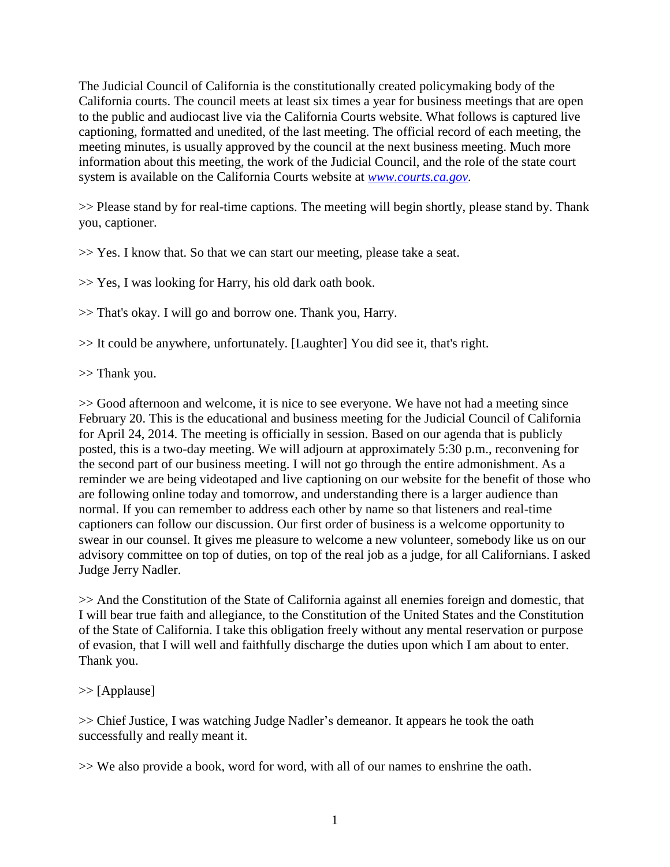The Judicial Council of California is the constitutionally created policymaking body of the California courts. The council meets at least six times a year for business meetings that are open to the public and audiocast live via the California Courts website. What follows is captured live captioning, formatted and unedited, of the last meeting. The official record of each meeting, the meeting minutes, is usually approved by the council at the next business meeting. Much more information about this meeting, the work of the Judicial Council, and the role of the state court system is available on the California Courts website at *[www.courts.ca.gov.](http://www.courts.ca.gov/)*

>> Please stand by for real-time captions. The meeting will begin shortly, please stand by. Thank you, captioner.

>> Yes. I know that. So that we can start our meeting, please take a seat.

>> Yes, I was looking for Harry, his old dark oath book.

>> That's okay. I will go and borrow one. Thank you, Harry.

>> It could be anywhere, unfortunately. [Laughter] You did see it, that's right.

>> Thank you.

>> Good afternoon and welcome, it is nice to see everyone. We have not had a meeting since February 20. This is the educational and business meeting for the Judicial Council of California for April 24, 2014. The meeting is officially in session. Based on our agenda that is publicly posted, this is a two-day meeting. We will adjourn at approximately 5:30 p.m., reconvening for the second part of our business meeting. I will not go through the entire admonishment. As a reminder we are being videotaped and live captioning on our website for the benefit of those who are following online today and tomorrow, and understanding there is a larger audience than normal. If you can remember to address each other by name so that listeners and real-time captioners can follow our discussion. Our first order of business is a welcome opportunity to swear in our counsel. It gives me pleasure to welcome a new volunteer, somebody like us on our advisory committee on top of duties, on top of the real job as a judge, for all Californians. I asked Judge Jerry Nadler.

>> And the Constitution of the State of California against all enemies foreign and domestic, that I will bear true faith and allegiance, to the Constitution of the United States and the Constitution of the State of California. I take this obligation freely without any mental reservation or purpose of evasion, that I will well and faithfully discharge the duties upon which I am about to enter. Thank you.

>> [Applause]

>> Chief Justice, I was watching Judge Nadler's demeanor. It appears he took the oath successfully and really meant it.

>> We also provide a book, word for word, with all of our names to enshrine the oath.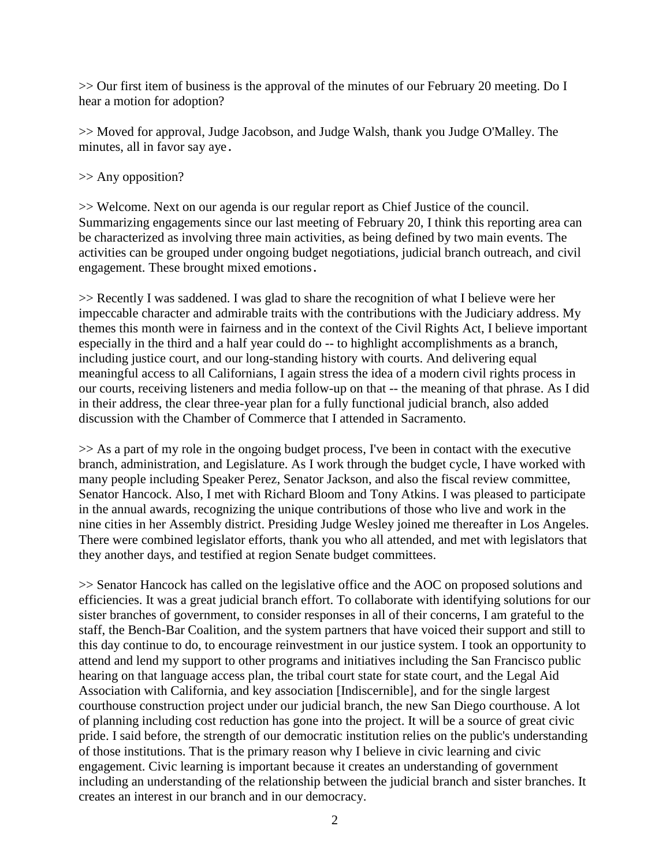>> Our first item of business is the approval of the minutes of our February 20 meeting. Do I hear a motion for adoption?

>> Moved for approval, Judge Jacobson, and Judge Walsh, thank you Judge O'Malley. The minutes, all in favor say aye.

>> Any opposition?

>> Welcome. Next on our agenda is our regular report as Chief Justice of the council. Summarizing engagements since our last meeting of February 20, I think this reporting area can be characterized as involving three main activities, as being defined by two main events. The activities can be grouped under ongoing budget negotiations, judicial branch outreach, and civil engagement. These brought mixed emotions.

>> Recently I was saddened. I was glad to share the recognition of what I believe were her impeccable character and admirable traits with the contributions with the Judiciary address. My themes this month were in fairness and in the context of the Civil Rights Act, I believe important especially in the third and a half year could do -- to highlight accomplishments as a branch, including justice court, and our long-standing history with courts. And delivering equal meaningful access to all Californians, I again stress the idea of a modern civil rights process in our courts, receiving listeners and media follow-up on that -- the meaning of that phrase. As I did in their address, the clear three-year plan for a fully functional judicial branch, also added discussion with the Chamber of Commerce that I attended in Sacramento.

>> As a part of my role in the ongoing budget process, I've been in contact with the executive branch, administration, and Legislature. As I work through the budget cycle, I have worked with many people including Speaker Perez, Senator Jackson, and also the fiscal review committee, Senator Hancock. Also, I met with Richard Bloom and Tony Atkins. I was pleased to participate in the annual awards, recognizing the unique contributions of those who live and work in the nine cities in her Assembly district. Presiding Judge Wesley joined me thereafter in Los Angeles. There were combined legislator efforts, thank you who all attended, and met with legislators that they another days, and testified at region Senate budget committees.

>> Senator Hancock has called on the legislative office and the AOC on proposed solutions and efficiencies. It was a great judicial branch effort. To collaborate with identifying solutions for our sister branches of government, to consider responses in all of their concerns, I am grateful to the staff, the Bench-Bar Coalition, and the system partners that have voiced their support and still to this day continue to do, to encourage reinvestment in our justice system. I took an opportunity to attend and lend my support to other programs and initiatives including the San Francisco public hearing on that language access plan, the tribal court state for state court, and the Legal Aid Association with California, and key association [Indiscernible], and for the single largest courthouse construction project under our judicial branch, the new San Diego courthouse. A lot of planning including cost reduction has gone into the project. It will be a source of great civic pride. I said before, the strength of our democratic institution relies on the public's understanding of those institutions. That is the primary reason why I believe in civic learning and civic engagement. Civic learning is important because it creates an understanding of government including an understanding of the relationship between the judicial branch and sister branches. It creates an interest in our branch and in our democracy.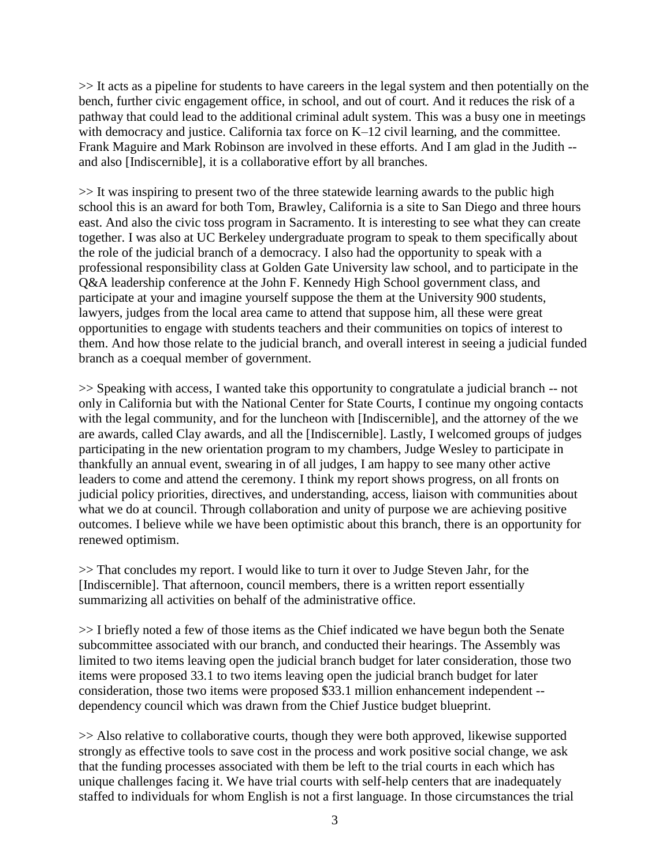>> It acts as a pipeline for students to have careers in the legal system and then potentially on the bench, further civic engagement office, in school, and out of court. And it reduces the risk of a pathway that could lead to the additional criminal adult system. This was a busy one in meetings with democracy and justice. California tax force on K–12 civil learning, and the committee. Frank Maguire and Mark Robinson are involved in these efforts. And I am glad in the Judith - and also [Indiscernible], it is a collaborative effort by all branches.

>> It was inspiring to present two of the three statewide learning awards to the public high school this is an award for both Tom, Brawley, California is a site to San Diego and three hours east. And also the civic toss program in Sacramento. It is interesting to see what they can create together. I was also at UC Berkeley undergraduate program to speak to them specifically about the role of the judicial branch of a democracy. I also had the opportunity to speak with a professional responsibility class at Golden Gate University law school, and to participate in the Q&A leadership conference at the John F. Kennedy High School government class, and participate at your and imagine yourself suppose the them at the University 900 students, lawyers, judges from the local area came to attend that suppose him, all these were great opportunities to engage with students teachers and their communities on topics of interest to them. And how those relate to the judicial branch, and overall interest in seeing a judicial funded branch as a coequal member of government.

>> Speaking with access, I wanted take this opportunity to congratulate a judicial branch -- not only in California but with the National Center for State Courts, I continue my ongoing contacts with the legal community, and for the luncheon with [Indiscernible], and the attorney of the we are awards, called Clay awards, and all the [Indiscernible]. Lastly, I welcomed groups of judges participating in the new orientation program to my chambers, Judge Wesley to participate in thankfully an annual event, swearing in of all judges, I am happy to see many other active leaders to come and attend the ceremony. I think my report shows progress, on all fronts on judicial policy priorities, directives, and understanding, access, liaison with communities about what we do at council. Through collaboration and unity of purpose we are achieving positive outcomes. I believe while we have been optimistic about this branch, there is an opportunity for renewed optimism.

>> That concludes my report. I would like to turn it over to Judge Steven Jahr, for the [Indiscernible]. That afternoon, council members, there is a written report essentially summarizing all activities on behalf of the administrative office.

>> I briefly noted a few of those items as the Chief indicated we have begun both the Senate subcommittee associated with our branch, and conducted their hearings. The Assembly was limited to two items leaving open the judicial branch budget for later consideration, those two items were proposed 33.1 to two items leaving open the judicial branch budget for later consideration, those two items were proposed \$33.1 million enhancement independent - dependency council which was drawn from the Chief Justice budget blueprint.

>> Also relative to collaborative courts, though they were both approved, likewise supported strongly as effective tools to save cost in the process and work positive social change, we ask that the funding processes associated with them be left to the trial courts in each which has unique challenges facing it. We have trial courts with self-help centers that are inadequately staffed to individuals for whom English is not a first language. In those circumstances the trial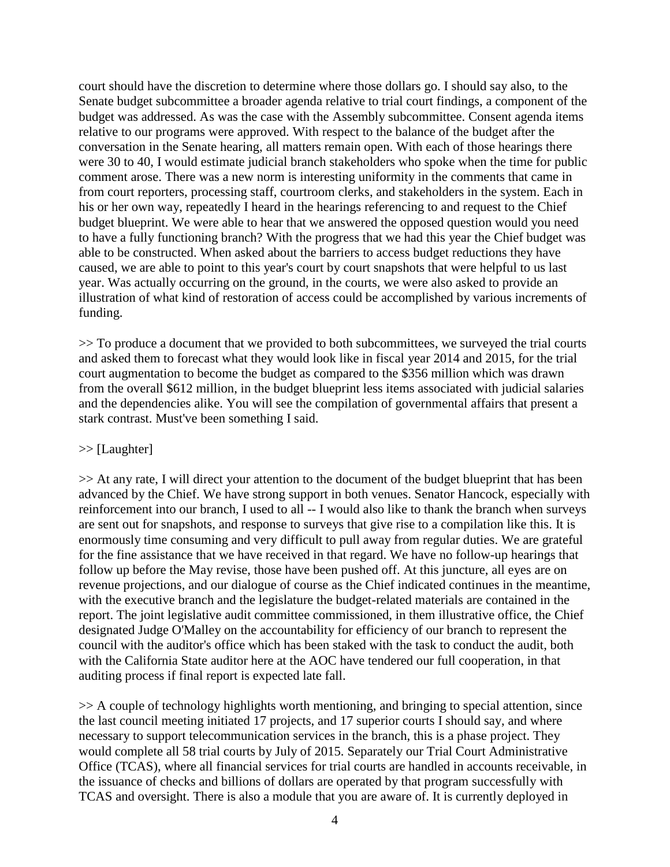court should have the discretion to determine where those dollars go. I should say also, to the Senate budget subcommittee a broader agenda relative to trial court findings, a component of the budget was addressed. As was the case with the Assembly subcommittee. Consent agenda items relative to our programs were approved. With respect to the balance of the budget after the conversation in the Senate hearing, all matters remain open. With each of those hearings there were 30 to 40, I would estimate judicial branch stakeholders who spoke when the time for public comment arose. There was a new norm is interesting uniformity in the comments that came in from court reporters, processing staff, courtroom clerks, and stakeholders in the system. Each in his or her own way, repeatedly I heard in the hearings referencing to and request to the Chief budget blueprint. We were able to hear that we answered the opposed question would you need to have a fully functioning branch? With the progress that we had this year the Chief budget was able to be constructed. When asked about the barriers to access budget reductions they have caused, we are able to point to this year's court by court snapshots that were helpful to us last year. Was actually occurring on the ground, in the courts, we were also asked to provide an illustration of what kind of restoration of access could be accomplished by various increments of funding.

>> To produce a document that we provided to both subcommittees, we surveyed the trial courts and asked them to forecast what they would look like in fiscal year 2014 and 2015, for the trial court augmentation to become the budget as compared to the \$356 million which was drawn from the overall \$612 million, in the budget blueprint less items associated with judicial salaries and the dependencies alike. You will see the compilation of governmental affairs that present a stark contrast. Must've been something I said.

## >> [Laughter]

>> At any rate, I will direct your attention to the document of the budget blueprint that has been advanced by the Chief. We have strong support in both venues. Senator Hancock, especially with reinforcement into our branch, I used to all -- I would also like to thank the branch when surveys are sent out for snapshots, and response to surveys that give rise to a compilation like this. It is enormously time consuming and very difficult to pull away from regular duties. We are grateful for the fine assistance that we have received in that regard. We have no follow-up hearings that follow up before the May revise, those have been pushed off. At this juncture, all eyes are on revenue projections, and our dialogue of course as the Chief indicated continues in the meantime, with the executive branch and the legislature the budget-related materials are contained in the report. The joint legislative audit committee commissioned, in them illustrative office, the Chief designated Judge O'Malley on the accountability for efficiency of our branch to represent the council with the auditor's office which has been staked with the task to conduct the audit, both with the California State auditor here at the AOC have tendered our full cooperation, in that auditing process if final report is expected late fall.

>> A couple of technology highlights worth mentioning, and bringing to special attention, since the last council meeting initiated 17 projects, and 17 superior courts I should say, and where necessary to support telecommunication services in the branch, this is a phase project. They would complete all 58 trial courts by July of 2015. Separately our Trial Court Administrative Office (TCAS), where all financial services for trial courts are handled in accounts receivable, in the issuance of checks and billions of dollars are operated by that program successfully with TCAS and oversight. There is also a module that you are aware of. It is currently deployed in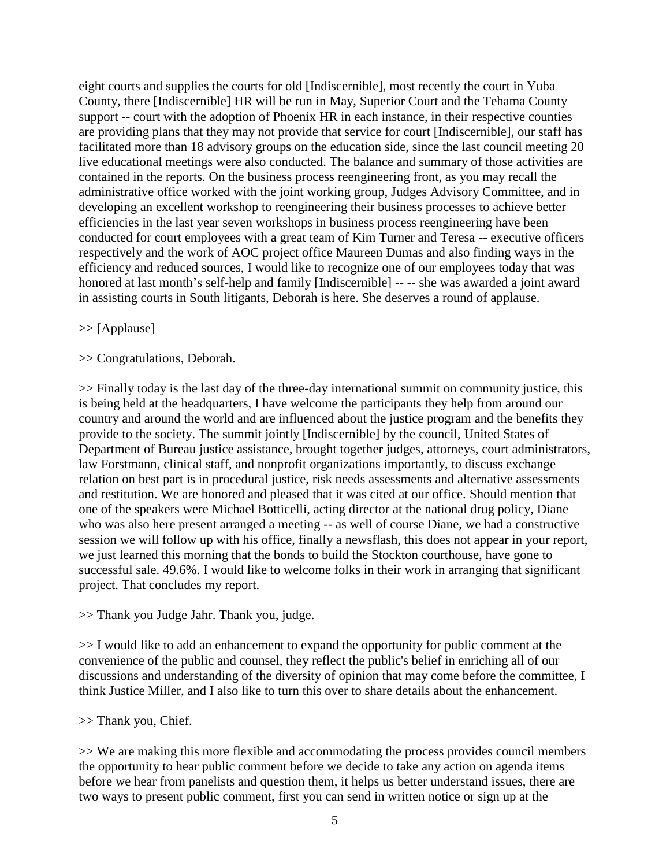eight courts and supplies the courts for old [Indiscernible], most recently the court in Yuba County, there [Indiscernible] HR will be run in May, Superior Court and the Tehama County support -- court with the adoption of Phoenix HR in each instance, in their respective counties are providing plans that they may not provide that service for court [Indiscernible], our staff has facilitated more than 18 advisory groups on the education side, since the last council meeting 20 live educational meetings were also conducted. The balance and summary of those activities are contained in the reports. On the business process reengineering front, as you may recall the administrative office worked with the joint working group, Judges Advisory Committee, and in developing an excellent workshop to reengineering their business processes to achieve better efficiencies in the last year seven workshops in business process reengineering have been conducted for court employees with a great team of Kim Turner and Teresa -- executive officers respectively and the work of AOC project office Maureen Dumas and also finding ways in the efficiency and reduced sources, I would like to recognize one of our employees today that was honored at last month's self-help and family [Indiscernible] -- -- she was awarded a joint award in assisting courts in South litigants, Deborah is here. She deserves a round of applause.

# >> [Applause]

## >> Congratulations, Deborah.

>> Finally today is the last day of the three-day international summit on community justice, this is being held at the headquarters, I have welcome the participants they help from around our country and around the world and are influenced about the justice program and the benefits they provide to the society. The summit jointly [Indiscernible] by the council, United States of Department of Bureau justice assistance, brought together judges, attorneys, court administrators, law Forstmann, clinical staff, and nonprofit organizations importantly, to discuss exchange relation on best part is in procedural justice, risk needs assessments and alternative assessments and restitution. We are honored and pleased that it was cited at our office. Should mention that one of the speakers were Michael Botticelli, acting director at the national drug policy, Diane who was also here present arranged a meeting -- as well of course Diane, we had a constructive session we will follow up with his office, finally a newsflash, this does not appear in your report, we just learned this morning that the bonds to build the Stockton courthouse, have gone to successful sale. 49.6%. I would like to welcome folks in their work in arranging that significant project. That concludes my report.

## >> Thank you Judge Jahr. Thank you, judge.

>> I would like to add an enhancement to expand the opportunity for public comment at the convenience of the public and counsel, they reflect the public's belief in enriching all of our discussions and understanding of the diversity of opinion that may come before the committee, I think Justice Miller, and I also like to turn this over to share details about the enhancement.

## >> Thank you, Chief.

>> We are making this more flexible and accommodating the process provides council members the opportunity to hear public comment before we decide to take any action on agenda items before we hear from panelists and question them, it helps us better understand issues, there are two ways to present public comment, first you can send in written notice or sign up at the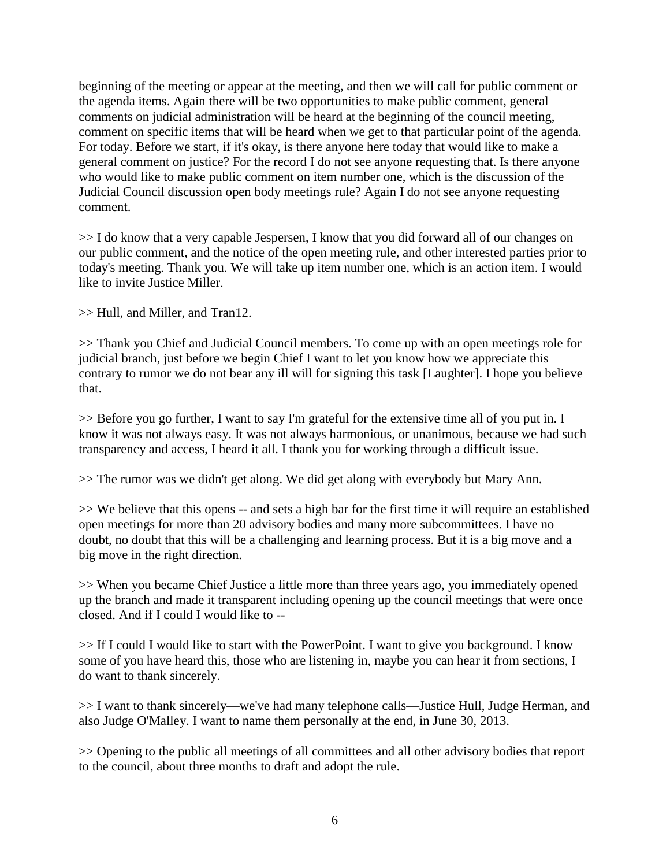beginning of the meeting or appear at the meeting, and then we will call for public comment or the agenda items. Again there will be two opportunities to make public comment, general comments on judicial administration will be heard at the beginning of the council meeting, comment on specific items that will be heard when we get to that particular point of the agenda. For today. Before we start, if it's okay, is there anyone here today that would like to make a general comment on justice? For the record I do not see anyone requesting that. Is there anyone who would like to make public comment on item number one, which is the discussion of the Judicial Council discussion open body meetings rule? Again I do not see anyone requesting comment.

>> I do know that a very capable Jespersen, I know that you did forward all of our changes on our public comment, and the notice of the open meeting rule, and other interested parties prior to today's meeting. Thank you. We will take up item number one, which is an action item. I would like to invite Justice Miller.

>> Hull, and Miller, and Tran12.

>> Thank you Chief and Judicial Council members. To come up with an open meetings role for judicial branch, just before we begin Chief I want to let you know how we appreciate this contrary to rumor we do not bear any ill will for signing this task [Laughter]. I hope you believe that.

>> Before you go further, I want to say I'm grateful for the extensive time all of you put in. I know it was not always easy. It was not always harmonious, or unanimous, because we had such transparency and access, I heard it all. I thank you for working through a difficult issue.

>> The rumor was we didn't get along. We did get along with everybody but Mary Ann.

>> We believe that this opens -- and sets a high bar for the first time it will require an established open meetings for more than 20 advisory bodies and many more subcommittees. I have no doubt, no doubt that this will be a challenging and learning process. But it is a big move and a big move in the right direction.

>> When you became Chief Justice a little more than three years ago, you immediately opened up the branch and made it transparent including opening up the council meetings that were once closed. And if I could I would like to --

>> If I could I would like to start with the PowerPoint. I want to give you background. I know some of you have heard this, those who are listening in, maybe you can hear it from sections, I do want to thank sincerely.

>> I want to thank sincerely—we've had many telephone calls—Justice Hull, Judge Herman, and also Judge O'Malley. I want to name them personally at the end, in June 30, 2013.

>> Opening to the public all meetings of all committees and all other advisory bodies that report to the council, about three months to draft and adopt the rule.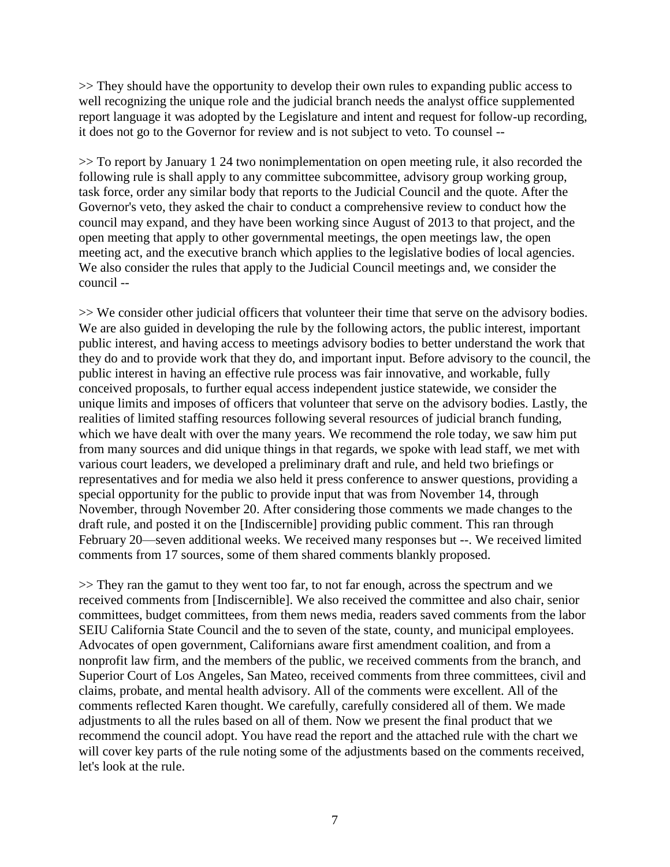>> They should have the opportunity to develop their own rules to expanding public access to well recognizing the unique role and the judicial branch needs the analyst office supplemented report language it was adopted by the Legislature and intent and request for follow-up recording, it does not go to the Governor for review and is not subject to veto. To counsel --

>> To report by January 1 24 two nonimplementation on open meeting rule, it also recorded the following rule is shall apply to any committee subcommittee, advisory group working group, task force, order any similar body that reports to the Judicial Council and the quote. After the Governor's veto, they asked the chair to conduct a comprehensive review to conduct how the council may expand, and they have been working since August of 2013 to that project, and the open meeting that apply to other governmental meetings, the open meetings law, the open meeting act, and the executive branch which applies to the legislative bodies of local agencies. We also consider the rules that apply to the Judicial Council meetings and, we consider the council --

>> We consider other judicial officers that volunteer their time that serve on the advisory bodies. We are also guided in developing the rule by the following actors, the public interest, important public interest, and having access to meetings advisory bodies to better understand the work that they do and to provide work that they do, and important input. Before advisory to the council, the public interest in having an effective rule process was fair innovative, and workable, fully conceived proposals, to further equal access independent justice statewide, we consider the unique limits and imposes of officers that volunteer that serve on the advisory bodies. Lastly, the realities of limited staffing resources following several resources of judicial branch funding, which we have dealt with over the many years. We recommend the role today, we saw him put from many sources and did unique things in that regards, we spoke with lead staff, we met with various court leaders, we developed a preliminary draft and rule, and held two briefings or representatives and for media we also held it press conference to answer questions, providing a special opportunity for the public to provide input that was from November 14, through November, through November 20. After considering those comments we made changes to the draft rule, and posted it on the [Indiscernible] providing public comment. This ran through February 20—seven additional weeks. We received many responses but --. We received limited comments from 17 sources, some of them shared comments blankly proposed.

>> They ran the gamut to they went too far, to not far enough, across the spectrum and we received comments from [Indiscernible]. We also received the committee and also chair, senior committees, budget committees, from them news media, readers saved comments from the labor SEIU California State Council and the to seven of the state, county, and municipal employees. Advocates of open government, Californians aware first amendment coalition, and from a nonprofit law firm, and the members of the public, we received comments from the branch, and Superior Court of Los Angeles, San Mateo, received comments from three committees, civil and claims, probate, and mental health advisory. All of the comments were excellent. All of the comments reflected Karen thought. We carefully, carefully considered all of them. We made adjustments to all the rules based on all of them. Now we present the final product that we recommend the council adopt. You have read the report and the attached rule with the chart we will cover key parts of the rule noting some of the adjustments based on the comments received, let's look at the rule.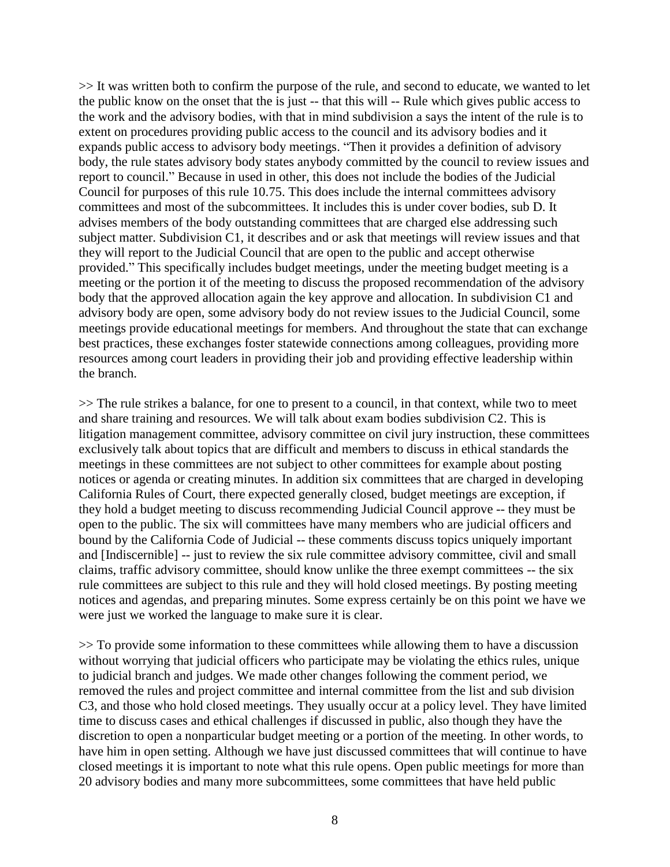>> It was written both to confirm the purpose of the rule, and second to educate, we wanted to let the public know on the onset that the is just -- that this will -- Rule which gives public access to the work and the advisory bodies, with that in mind subdivision a says the intent of the rule is to extent on procedures providing public access to the council and its advisory bodies and it expands public access to advisory body meetings. "Then it provides a definition of advisory body, the rule states advisory body states anybody committed by the council to review issues and report to council." Because in used in other, this does not include the bodies of the Judicial Council for purposes of this rule 10.75. This does include the internal committees advisory committees and most of the subcommittees. It includes this is under cover bodies, sub D. It advises members of the body outstanding committees that are charged else addressing such subject matter. Subdivision C1, it describes and or ask that meetings will review issues and that they will report to the Judicial Council that are open to the public and accept otherwise provided." This specifically includes budget meetings, under the meeting budget meeting is a meeting or the portion it of the meeting to discuss the proposed recommendation of the advisory body that the approved allocation again the key approve and allocation. In subdivision C1 and advisory body are open, some advisory body do not review issues to the Judicial Council, some meetings provide educational meetings for members. And throughout the state that can exchange best practices, these exchanges foster statewide connections among colleagues, providing more resources among court leaders in providing their job and providing effective leadership within the branch.

>> The rule strikes a balance, for one to present to a council, in that context, while two to meet and share training and resources. We will talk about exam bodies subdivision C2. This is litigation management committee, advisory committee on civil jury instruction, these committees exclusively talk about topics that are difficult and members to discuss in ethical standards the meetings in these committees are not subject to other committees for example about posting notices or agenda or creating minutes. In addition six committees that are charged in developing California Rules of Court, there expected generally closed, budget meetings are exception, if they hold a budget meeting to discuss recommending Judicial Council approve -- they must be open to the public. The six will committees have many members who are judicial officers and bound by the California Code of Judicial -- these comments discuss topics uniquely important and [Indiscernible] -- just to review the six rule committee advisory committee, civil and small claims, traffic advisory committee, should know unlike the three exempt committees -- the six rule committees are subject to this rule and they will hold closed meetings. By posting meeting notices and agendas, and preparing minutes. Some express certainly be on this point we have we were just we worked the language to make sure it is clear.

>> To provide some information to these committees while allowing them to have a discussion without worrying that judicial officers who participate may be violating the ethics rules, unique to judicial branch and judges. We made other changes following the comment period, we removed the rules and project committee and internal committee from the list and sub division C3, and those who hold closed meetings. They usually occur at a policy level. They have limited time to discuss cases and ethical challenges if discussed in public, also though they have the discretion to open a nonparticular budget meeting or a portion of the meeting. In other words, to have him in open setting. Although we have just discussed committees that will continue to have closed meetings it is important to note what this rule opens. Open public meetings for more than 20 advisory bodies and many more subcommittees, some committees that have held public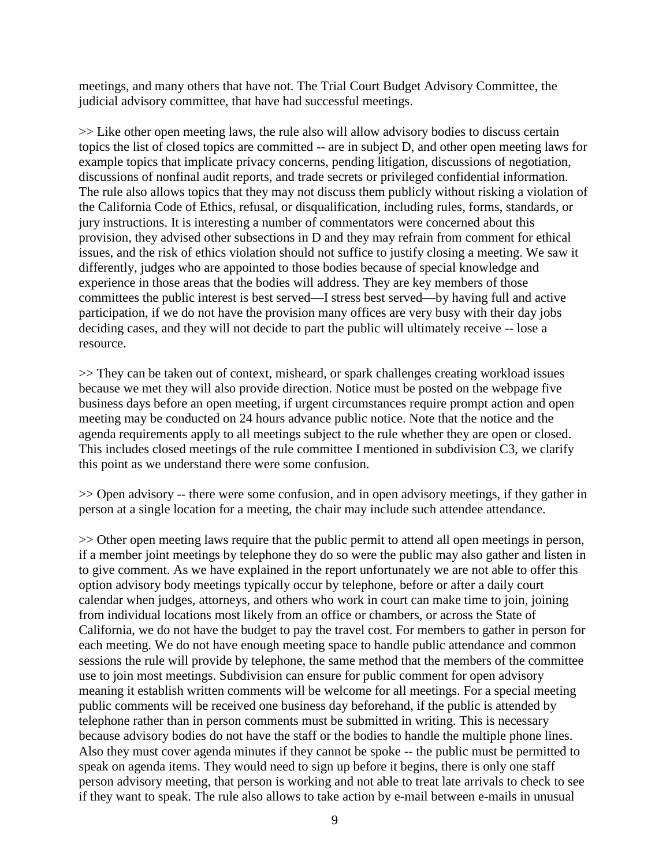meetings, and many others that have not. The Trial Court Budget Advisory Committee, the judicial advisory committee, that have had successful meetings.

>> Like other open meeting laws, the rule also will allow advisory bodies to discuss certain topics the list of closed topics are committed -- are in subject D, and other open meeting laws for example topics that implicate privacy concerns, pending litigation, discussions of negotiation, discussions of nonfinal audit reports, and trade secrets or privileged confidential information. The rule also allows topics that they may not discuss them publicly without risking a violation of the California Code of Ethics, refusal, or disqualification, including rules, forms, standards, or jury instructions. It is interesting a number of commentators were concerned about this provision, they advised other subsections in D and they may refrain from comment for ethical issues, and the risk of ethics violation should not suffice to justify closing a meeting. We saw it differently, judges who are appointed to those bodies because of special knowledge and experience in those areas that the bodies will address. They are key members of those committees the public interest is best served—I stress best served—by having full and active participation, if we do not have the provision many offices are very busy with their day jobs deciding cases, and they will not decide to part the public will ultimately receive -- lose a resource.

>> They can be taken out of context, misheard, or spark challenges creating workload issues because we met they will also provide direction. Notice must be posted on the webpage five business days before an open meeting, if urgent circumstances require prompt action and open meeting may be conducted on 24 hours advance public notice. Note that the notice and the agenda requirements apply to all meetings subject to the rule whether they are open or closed. This includes closed meetings of the rule committee I mentioned in subdivision C3, we clarify this point as we understand there were some confusion.

>> Open advisory -- there were some confusion, and in open advisory meetings, if they gather in person at a single location for a meeting, the chair may include such attendee attendance.

>> Other open meeting laws require that the public permit to attend all open meetings in person, if a member joint meetings by telephone they do so were the public may also gather and listen in to give comment. As we have explained in the report unfortunately we are not able to offer this option advisory body meetings typically occur by telephone, before or after a daily court calendar when judges, attorneys, and others who work in court can make time to join, joining from individual locations most likely from an office or chambers, or across the State of California, we do not have the budget to pay the travel cost. For members to gather in person for each meeting. We do not have enough meeting space to handle public attendance and common sessions the rule will provide by telephone, the same method that the members of the committee use to join most meetings. Subdivision can ensure for public comment for open advisory meaning it establish written comments will be welcome for all meetings. For a special meeting public comments will be received one business day beforehand, if the public is attended by telephone rather than in person comments must be submitted in writing. This is necessary because advisory bodies do not have the staff or the bodies to handle the multiple phone lines. Also they must cover agenda minutes if they cannot be spoke -- the public must be permitted to speak on agenda items. They would need to sign up before it begins, there is only one staff person advisory meeting, that person is working and not able to treat late arrivals to check to see if they want to speak. The rule also allows to take action by e-mail between e-mails in unusual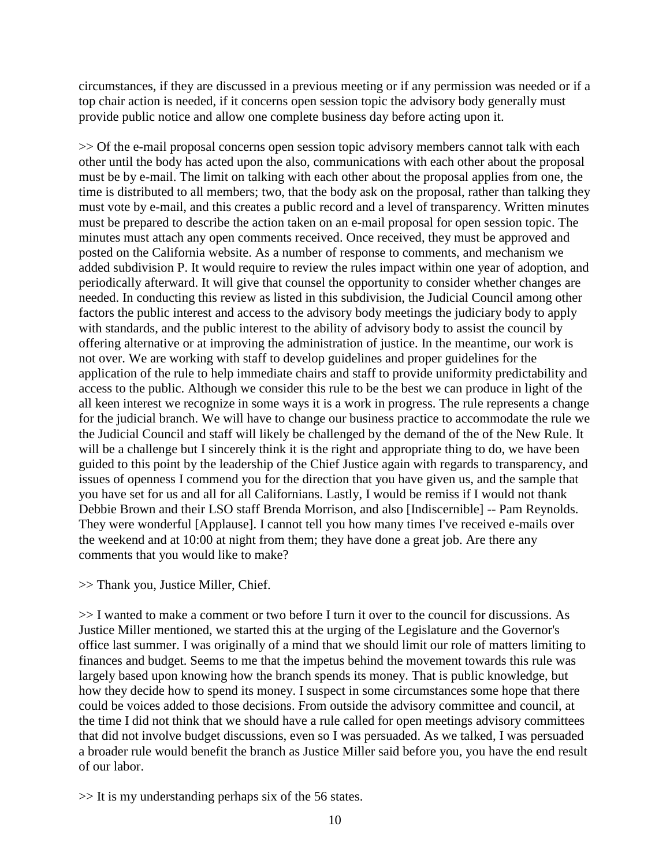circumstances, if they are discussed in a previous meeting or if any permission was needed or if a top chair action is needed, if it concerns open session topic the advisory body generally must provide public notice and allow one complete business day before acting upon it.

>> Of the e-mail proposal concerns open session topic advisory members cannot talk with each other until the body has acted upon the also, communications with each other about the proposal must be by e-mail. The limit on talking with each other about the proposal applies from one, the time is distributed to all members; two, that the body ask on the proposal, rather than talking they must vote by e-mail, and this creates a public record and a level of transparency. Written minutes must be prepared to describe the action taken on an e-mail proposal for open session topic. The minutes must attach any open comments received. Once received, they must be approved and posted on the California website. As a number of response to comments, and mechanism we added subdivision P. It would require to review the rules impact within one year of adoption, and periodically afterward. It will give that counsel the opportunity to consider whether changes are needed. In conducting this review as listed in this subdivision, the Judicial Council among other factors the public interest and access to the advisory body meetings the judiciary body to apply with standards, and the public interest to the ability of advisory body to assist the council by offering alternative or at improving the administration of justice. In the meantime, our work is not over. We are working with staff to develop guidelines and proper guidelines for the application of the rule to help immediate chairs and staff to provide uniformity predictability and access to the public. Although we consider this rule to be the best we can produce in light of the all keen interest we recognize in some ways it is a work in progress. The rule represents a change for the judicial branch. We will have to change our business practice to accommodate the rule we the Judicial Council and staff will likely be challenged by the demand of the of the New Rule. It will be a challenge but I sincerely think it is the right and appropriate thing to do, we have been guided to this point by the leadership of the Chief Justice again with regards to transparency, and issues of openness I commend you for the direction that you have given us, and the sample that you have set for us and all for all Californians. Lastly, I would be remiss if I would not thank Debbie Brown and their LSO staff Brenda Morrison, and also [Indiscernible] -- Pam Reynolds. They were wonderful [Applause]. I cannot tell you how many times I've received e-mails over the weekend and at 10:00 at night from them; they have done a great job. Are there any comments that you would like to make?

>> Thank you, Justice Miller, Chief.

>> I wanted to make a comment or two before I turn it over to the council for discussions. As Justice Miller mentioned, we started this at the urging of the Legislature and the Governor's office last summer. I was originally of a mind that we should limit our role of matters limiting to finances and budget. Seems to me that the impetus behind the movement towards this rule was largely based upon knowing how the branch spends its money. That is public knowledge, but how they decide how to spend its money. I suspect in some circumstances some hope that there could be voices added to those decisions. From outside the advisory committee and council, at the time I did not think that we should have a rule called for open meetings advisory committees that did not involve budget discussions, even so I was persuaded. As we talked, I was persuaded a broader rule would benefit the branch as Justice Miller said before you, you have the end result of our labor.

>> It is my understanding perhaps six of the 56 states.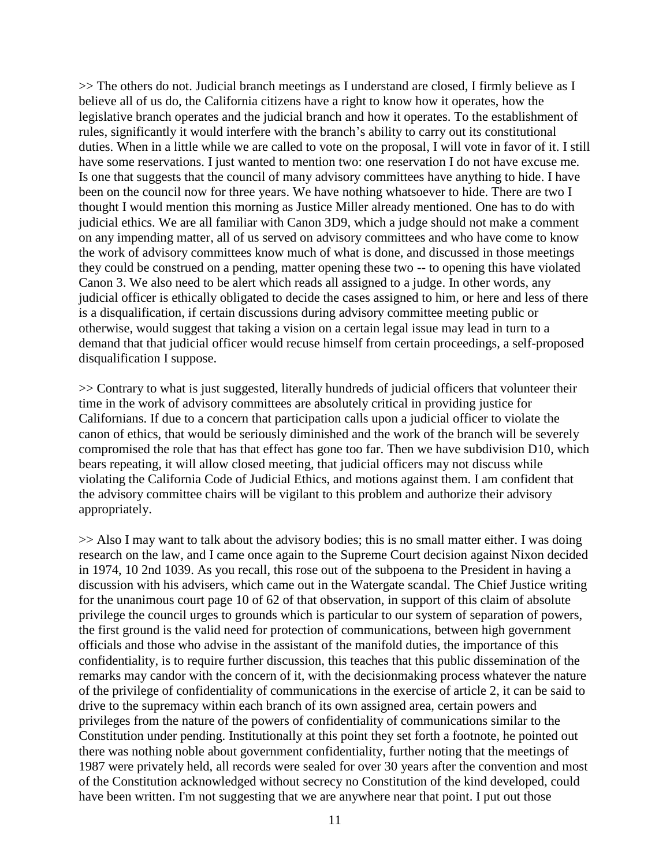>> The others do not. Judicial branch meetings as I understand are closed, I firmly believe as I believe all of us do, the California citizens have a right to know how it operates, how the legislative branch operates and the judicial branch and how it operates. To the establishment of rules, significantly it would interfere with the branch's ability to carry out its constitutional duties. When in a little while we are called to vote on the proposal, I will vote in favor of it. I still have some reservations. I just wanted to mention two: one reservation I do not have excuse me. Is one that suggests that the council of many advisory committees have anything to hide. I have been on the council now for three years. We have nothing whatsoever to hide. There are two I thought I would mention this morning as Justice Miller already mentioned. One has to do with judicial ethics. We are all familiar with Canon 3D9, which a judge should not make a comment on any impending matter, all of us served on advisory committees and who have come to know the work of advisory committees know much of what is done, and discussed in those meetings they could be construed on a pending, matter opening these two -- to opening this have violated Canon 3. We also need to be alert which reads all assigned to a judge. In other words, any judicial officer is ethically obligated to decide the cases assigned to him, or here and less of there is a disqualification, if certain discussions during advisory committee meeting public or otherwise, would suggest that taking a vision on a certain legal issue may lead in turn to a demand that that judicial officer would recuse himself from certain proceedings, a self-proposed disqualification I suppose.

>> Contrary to what is just suggested, literally hundreds of judicial officers that volunteer their time in the work of advisory committees are absolutely critical in providing justice for Californians. If due to a concern that participation calls upon a judicial officer to violate the canon of ethics, that would be seriously diminished and the work of the branch will be severely compromised the role that has that effect has gone too far. Then we have subdivision D10, which bears repeating, it will allow closed meeting, that judicial officers may not discuss while violating the California Code of Judicial Ethics, and motions against them. I am confident that the advisory committee chairs will be vigilant to this problem and authorize their advisory appropriately.

>> Also I may want to talk about the advisory bodies; this is no small matter either. I was doing research on the law, and I came once again to the Supreme Court decision against Nixon decided in 1974, 10 2nd 1039. As you recall, this rose out of the subpoena to the President in having a discussion with his advisers, which came out in the Watergate scandal. The Chief Justice writing for the unanimous court page 10 of 62 of that observation, in support of this claim of absolute privilege the council urges to grounds which is particular to our system of separation of powers, the first ground is the valid need for protection of communications, between high government officials and those who advise in the assistant of the manifold duties, the importance of this confidentiality, is to require further discussion, this teaches that this public dissemination of the remarks may candor with the concern of it, with the decisionmaking process whatever the nature of the privilege of confidentiality of communications in the exercise of article 2, it can be said to drive to the supremacy within each branch of its own assigned area, certain powers and privileges from the nature of the powers of confidentiality of communications similar to the Constitution under pending. Institutionally at this point they set forth a footnote, he pointed out there was nothing noble about government confidentiality, further noting that the meetings of 1987 were privately held, all records were sealed for over 30 years after the convention and most of the Constitution acknowledged without secrecy no Constitution of the kind developed, could have been written. I'm not suggesting that we are anywhere near that point. I put out those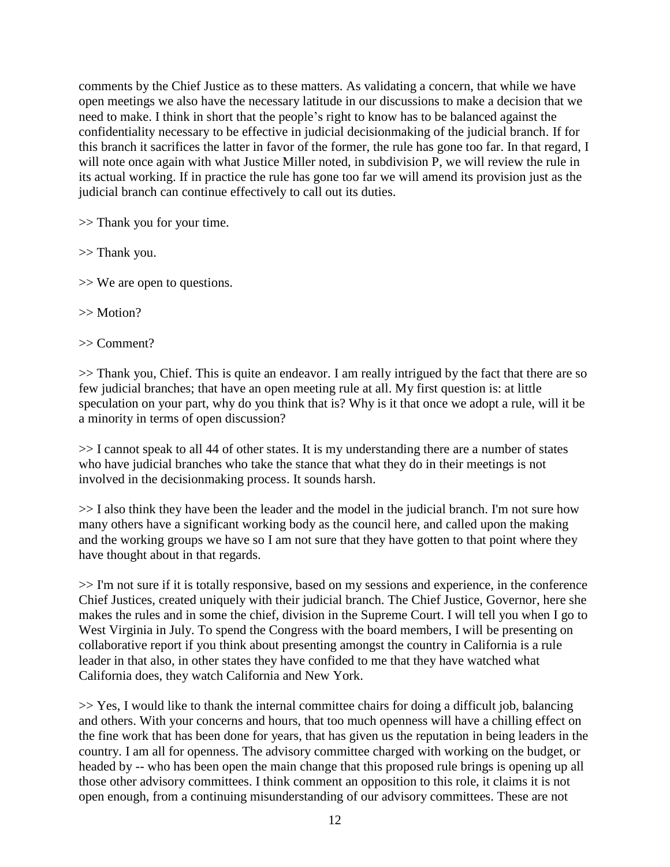comments by the Chief Justice as to these matters. As validating a concern, that while we have open meetings we also have the necessary latitude in our discussions to make a decision that we need to make. I think in short that the people's right to know has to be balanced against the confidentiality necessary to be effective in judicial decisionmaking of the judicial branch. If for this branch it sacrifices the latter in favor of the former, the rule has gone too far. In that regard, I will note once again with what Justice Miller noted, in subdivision P, we will review the rule in its actual working. If in practice the rule has gone too far we will amend its provision just as the judicial branch can continue effectively to call out its duties.

>> Thank you for your time.

>> Thank you.

>> We are open to questions.

>> Motion?

>> Comment?

>> Thank you, Chief. This is quite an endeavor. I am really intrigued by the fact that there are so few judicial branches; that have an open meeting rule at all. My first question is: at little speculation on your part, why do you think that is? Why is it that once we adopt a rule, will it be a minority in terms of open discussion?

>> I cannot speak to all 44 of other states. It is my understanding there are a number of states who have judicial branches who take the stance that what they do in their meetings is not involved in the decisionmaking process. It sounds harsh.

>> I also think they have been the leader and the model in the judicial branch. I'm not sure how many others have a significant working body as the council here, and called upon the making and the working groups we have so I am not sure that they have gotten to that point where they have thought about in that regards.

>> I'm not sure if it is totally responsive, based on my sessions and experience, in the conference Chief Justices, created uniquely with their judicial branch. The Chief Justice, Governor, here she makes the rules and in some the chief, division in the Supreme Court. I will tell you when I go to West Virginia in July. To spend the Congress with the board members, I will be presenting on collaborative report if you think about presenting amongst the country in California is a rule leader in that also, in other states they have confided to me that they have watched what California does, they watch California and New York.

>> Yes, I would like to thank the internal committee chairs for doing a difficult job, balancing and others. With your concerns and hours, that too much openness will have a chilling effect on the fine work that has been done for years, that has given us the reputation in being leaders in the country. I am all for openness. The advisory committee charged with working on the budget, or headed by -- who has been open the main change that this proposed rule brings is opening up all those other advisory committees. I think comment an opposition to this role, it claims it is not open enough, from a continuing misunderstanding of our advisory committees. These are not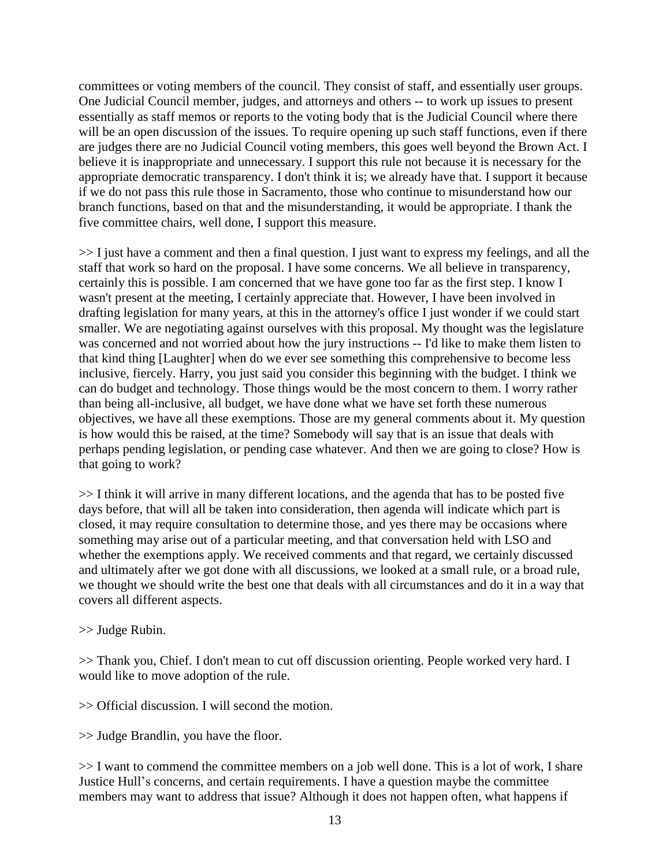committees or voting members of the council. They consist of staff, and essentially user groups. One Judicial Council member, judges, and attorneys and others -- to work up issues to present essentially as staff memos or reports to the voting body that is the Judicial Council where there will be an open discussion of the issues. To require opening up such staff functions, even if there are judges there are no Judicial Council voting members, this goes well beyond the Brown Act. I believe it is inappropriate and unnecessary. I support this rule not because it is necessary for the appropriate democratic transparency. I don't think it is; we already have that. I support it because if we do not pass this rule those in Sacramento, those who continue to misunderstand how our branch functions, based on that and the misunderstanding, it would be appropriate. I thank the five committee chairs, well done, I support this measure.

>> I just have a comment and then a final question. I just want to express my feelings, and all the staff that work so hard on the proposal. I have some concerns. We all believe in transparency, certainly this is possible. I am concerned that we have gone too far as the first step. I know I wasn't present at the meeting, I certainly appreciate that. However, I have been involved in drafting legislation for many years, at this in the attorney's office I just wonder if we could start smaller. We are negotiating against ourselves with this proposal. My thought was the legislature was concerned and not worried about how the jury instructions -- I'd like to make them listen to that kind thing [Laughter] when do we ever see something this comprehensive to become less inclusive, fiercely. Harry, you just said you consider this beginning with the budget. I think we can do budget and technology. Those things would be the most concern to them. I worry rather than being all-inclusive, all budget, we have done what we have set forth these numerous objectives, we have all these exemptions. Those are my general comments about it. My question is how would this be raised, at the time? Somebody will say that is an issue that deals with perhaps pending legislation, or pending case whatever. And then we are going to close? How is that going to work?

>> I think it will arrive in many different locations, and the agenda that has to be posted five days before, that will all be taken into consideration, then agenda will indicate which part is closed, it may require consultation to determine those, and yes there may be occasions where something may arise out of a particular meeting, and that conversation held with LSO and whether the exemptions apply. We received comments and that regard, we certainly discussed and ultimately after we got done with all discussions, we looked at a small rule, or a broad rule, we thought we should write the best one that deals with all circumstances and do it in a way that covers all different aspects.

## >> Judge Rubin.

>> Thank you, Chief. I don't mean to cut off discussion orienting. People worked very hard. I would like to move adoption of the rule.

>> Official discussion. I will second the motion.

>> Judge Brandlin, you have the floor.

>> I want to commend the committee members on a job well done. This is a lot of work, I share Justice Hull's concerns, and certain requirements. I have a question maybe the committee members may want to address that issue? Although it does not happen often, what happens if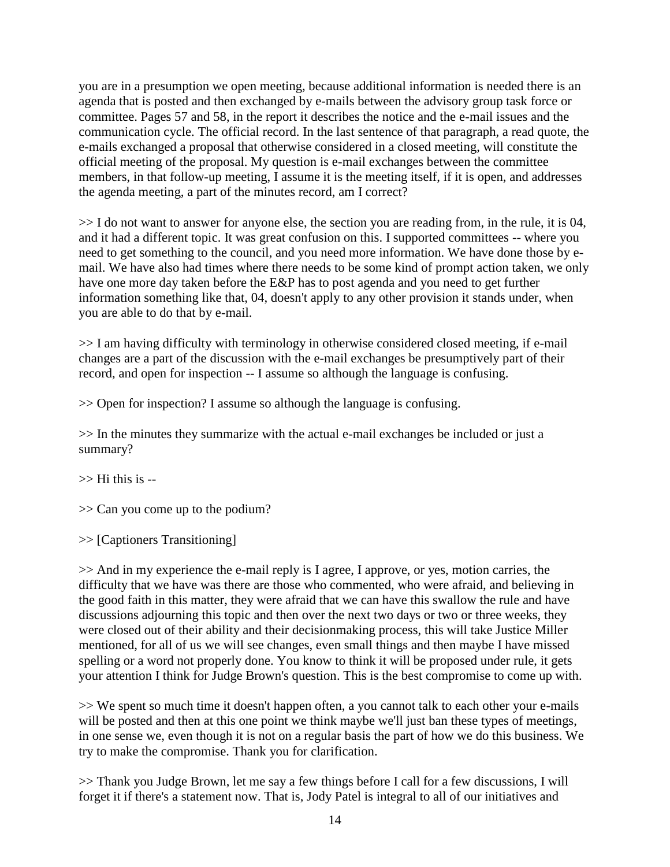you are in a presumption we open meeting, because additional information is needed there is an agenda that is posted and then exchanged by e-mails between the advisory group task force or committee. Pages 57 and 58, in the report it describes the notice and the e-mail issues and the communication cycle. The official record. In the last sentence of that paragraph, a read quote, the e-mails exchanged a proposal that otherwise considered in a closed meeting, will constitute the official meeting of the proposal. My question is e-mail exchanges between the committee members, in that follow-up meeting, I assume it is the meeting itself, if it is open, and addresses the agenda meeting, a part of the minutes record, am I correct?

>> I do not want to answer for anyone else, the section you are reading from, in the rule, it is 04, and it had a different topic. It was great confusion on this. I supported committees -- where you need to get something to the council, and you need more information. We have done those by email. We have also had times where there needs to be some kind of prompt action taken, we only have one more day taken before the E&P has to post agenda and you need to get further information something like that, 04, doesn't apply to any other provision it stands under, when you are able to do that by e-mail.

>> I am having difficulty with terminology in otherwise considered closed meeting, if e-mail changes are a part of the discussion with the e-mail exchanges be presumptively part of their record, and open for inspection -- I assume so although the language is confusing.

>> Open for inspection? I assume so although the language is confusing.

>> In the minutes they summarize with the actual e-mail exchanges be included or just a summary?

 $\gg$  Hi this is  $-$ 

>> Can you come up to the podium?

>> [Captioners Transitioning]

>> And in my experience the e-mail reply is I agree, I approve, or yes, motion carries, the difficulty that we have was there are those who commented, who were afraid, and believing in the good faith in this matter, they were afraid that we can have this swallow the rule and have discussions adjourning this topic and then over the next two days or two or three weeks, they were closed out of their ability and their decisionmaking process, this will take Justice Miller mentioned, for all of us we will see changes, even small things and then maybe I have missed spelling or a word not properly done. You know to think it will be proposed under rule, it gets your attention I think for Judge Brown's question. This is the best compromise to come up with.

>> We spent so much time it doesn't happen often, a you cannot talk to each other your e-mails will be posted and then at this one point we think maybe we'll just ban these types of meetings, in one sense we, even though it is not on a regular basis the part of how we do this business. We try to make the compromise. Thank you for clarification.

>> Thank you Judge Brown, let me say a few things before I call for a few discussions, I will forget it if there's a statement now. That is, Jody Patel is integral to all of our initiatives and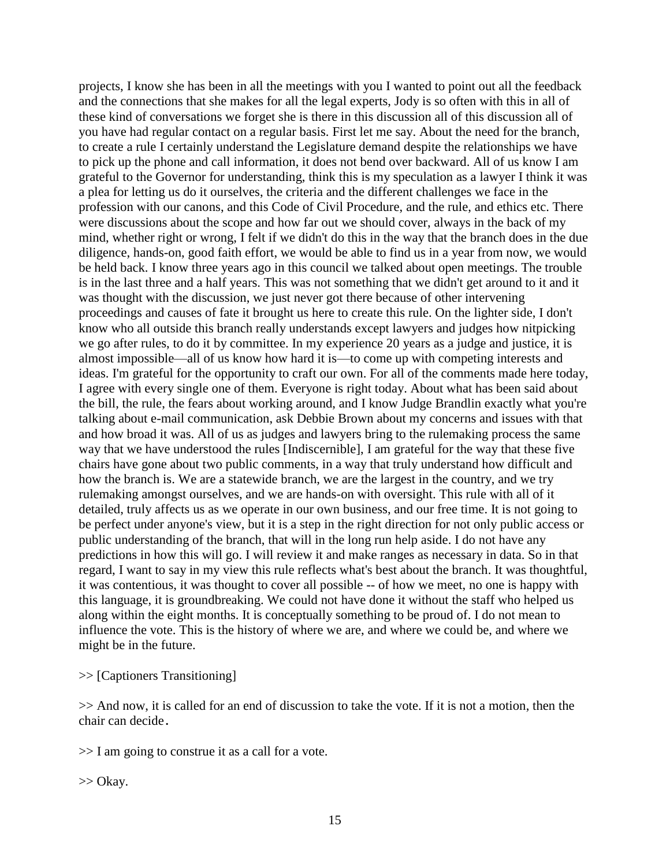projects, I know she has been in all the meetings with you I wanted to point out all the feedback and the connections that she makes for all the legal experts, Jody is so often with this in all of these kind of conversations we forget she is there in this discussion all of this discussion all of you have had regular contact on a regular basis. First let me say. About the need for the branch, to create a rule I certainly understand the Legislature demand despite the relationships we have to pick up the phone and call information, it does not bend over backward. All of us know I am grateful to the Governor for understanding, think this is my speculation as a lawyer I think it was a plea for letting us do it ourselves, the criteria and the different challenges we face in the profession with our canons, and this Code of Civil Procedure, and the rule, and ethics etc. There were discussions about the scope and how far out we should cover, always in the back of my mind, whether right or wrong, I felt if we didn't do this in the way that the branch does in the due diligence, hands-on, good faith effort, we would be able to find us in a year from now, we would be held back. I know three years ago in this council we talked about open meetings. The trouble is in the last three and a half years. This was not something that we didn't get around to it and it was thought with the discussion, we just never got there because of other intervening proceedings and causes of fate it brought us here to create this rule. On the lighter side, I don't know who all outside this branch really understands except lawyers and judges how nitpicking we go after rules, to do it by committee. In my experience 20 years as a judge and justice, it is almost impossible—all of us know how hard it is—to come up with competing interests and ideas. I'm grateful for the opportunity to craft our own. For all of the comments made here today, I agree with every single one of them. Everyone is right today. About what has been said about the bill, the rule, the fears about working around, and I know Judge Brandlin exactly what you're talking about e-mail communication, ask Debbie Brown about my concerns and issues with that and how broad it was. All of us as judges and lawyers bring to the rulemaking process the same way that we have understood the rules [Indiscernible], I am grateful for the way that these five chairs have gone about two public comments, in a way that truly understand how difficult and how the branch is. We are a statewide branch, we are the largest in the country, and we try rulemaking amongst ourselves, and we are hands-on with oversight. This rule with all of it detailed, truly affects us as we operate in our own business, and our free time. It is not going to be perfect under anyone's view, but it is a step in the right direction for not only public access or public understanding of the branch, that will in the long run help aside. I do not have any predictions in how this will go. I will review it and make ranges as necessary in data. So in that regard, I want to say in my view this rule reflects what's best about the branch. It was thoughtful, it was contentious, it was thought to cover all possible -- of how we meet, no one is happy with this language, it is groundbreaking. We could not have done it without the staff who helped us along within the eight months. It is conceptually something to be proud of. I do not mean to influence the vote. This is the history of where we are, and where we could be, and where we might be in the future.

>> [Captioners Transitioning]

>> And now, it is called for an end of discussion to take the vote. If it is not a motion, then the chair can decide.

>> I am going to construe it as a call for a vote.

>> Okay.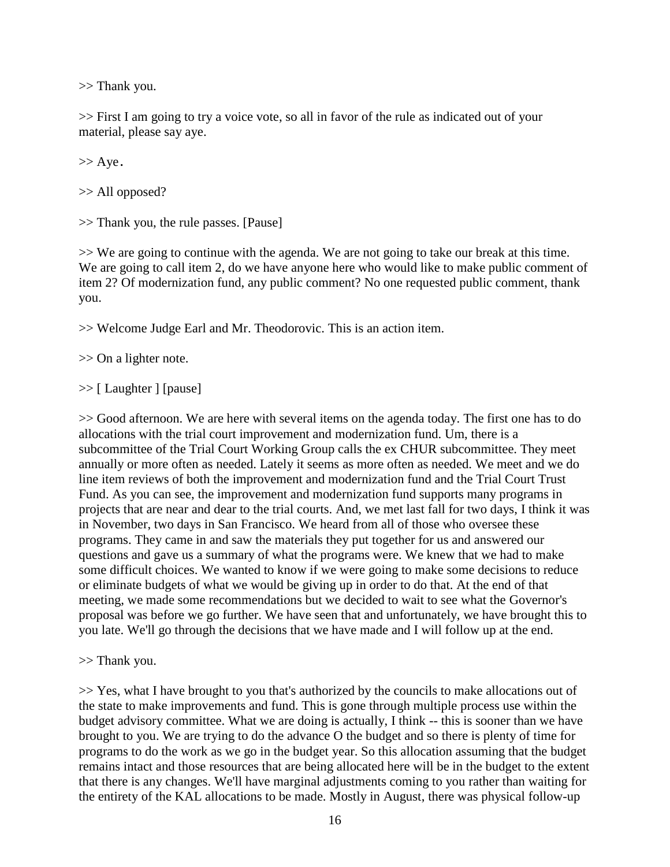>> Thank you.

>> First I am going to try a voice vote, so all in favor of the rule as indicated out of your material, please say aye.

 $>>$  Aye.

>> All opposed?

>> Thank you, the rule passes. [Pause]

>> We are going to continue with the agenda. We are not going to take our break at this time. We are going to call item 2, do we have anyone here who would like to make public comment of item 2? Of modernization fund, any public comment? No one requested public comment, thank you.

>> Welcome Judge Earl and Mr. Theodorovic. This is an action item.

>> On a lighter note.

>> [ Laughter ] [pause]

>> Good afternoon. We are here with several items on the agenda today. The first one has to do allocations with the trial court improvement and modernization fund. Um, there is a subcommittee of the Trial Court Working Group calls the ex CHUR subcommittee. They meet annually or more often as needed. Lately it seems as more often as needed. We meet and we do line item reviews of both the improvement and modernization fund and the Trial Court Trust Fund. As you can see, the improvement and modernization fund supports many programs in projects that are near and dear to the trial courts. And, we met last fall for two days, I think it was in November, two days in San Francisco. We heard from all of those who oversee these programs. They came in and saw the materials they put together for us and answered our questions and gave us a summary of what the programs were. We knew that we had to make some difficult choices. We wanted to know if we were going to make some decisions to reduce or eliminate budgets of what we would be giving up in order to do that. At the end of that meeting, we made some recommendations but we decided to wait to see what the Governor's proposal was before we go further. We have seen that and unfortunately, we have brought this to you late. We'll go through the decisions that we have made and I will follow up at the end.

>> Thank you.

>> Yes, what I have brought to you that's authorized by the councils to make allocations out of the state to make improvements and fund. This is gone through multiple process use within the budget advisory committee. What we are doing is actually, I think -- this is sooner than we have brought to you. We are trying to do the advance O the budget and so there is plenty of time for programs to do the work as we go in the budget year. So this allocation assuming that the budget remains intact and those resources that are being allocated here will be in the budget to the extent that there is any changes. We'll have marginal adjustments coming to you rather than waiting for the entirety of the KAL allocations to be made. Mostly in August, there was physical follow-up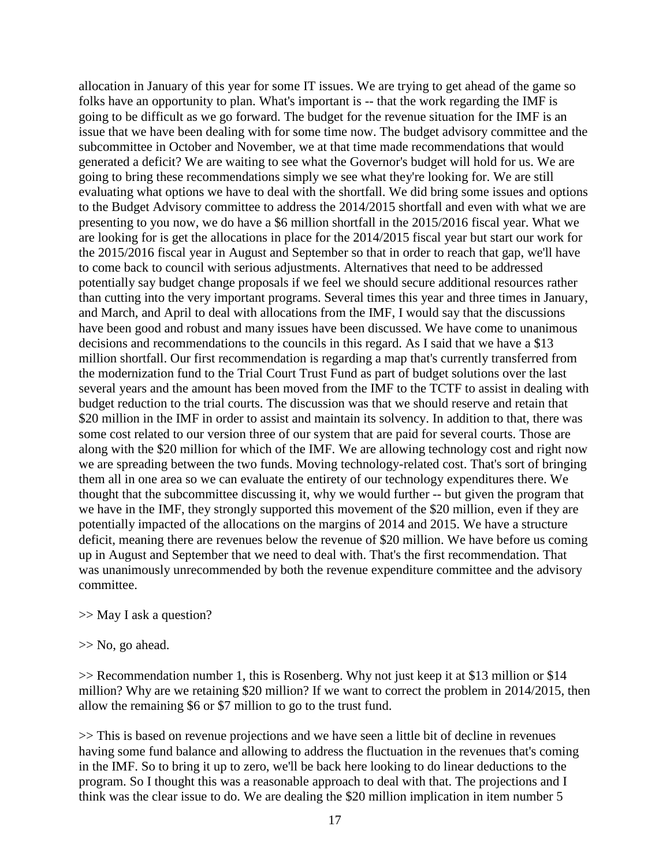allocation in January of this year for some IT issues. We are trying to get ahead of the game so folks have an opportunity to plan. What's important is -- that the work regarding the IMF is going to be difficult as we go forward. The budget for the revenue situation for the IMF is an issue that we have been dealing with for some time now. The budget advisory committee and the subcommittee in October and November, we at that time made recommendations that would generated a deficit? We are waiting to see what the Governor's budget will hold for us. We are going to bring these recommendations simply we see what they're looking for. We are still evaluating what options we have to deal with the shortfall. We did bring some issues and options to the Budget Advisory committee to address the 2014/2015 shortfall and even with what we are presenting to you now, we do have a \$6 million shortfall in the 2015/2016 fiscal year. What we are looking for is get the allocations in place for the 2014/2015 fiscal year but start our work for the 2015/2016 fiscal year in August and September so that in order to reach that gap, we'll have to come back to council with serious adjustments. Alternatives that need to be addressed potentially say budget change proposals if we feel we should secure additional resources rather than cutting into the very important programs. Several times this year and three times in January, and March, and April to deal with allocations from the IMF, I would say that the discussions have been good and robust and many issues have been discussed. We have come to unanimous decisions and recommendations to the councils in this regard. As I said that we have a \$13 million shortfall. Our first recommendation is regarding a map that's currently transferred from the modernization fund to the Trial Court Trust Fund as part of budget solutions over the last several years and the amount has been moved from the IMF to the TCTF to assist in dealing with budget reduction to the trial courts. The discussion was that we should reserve and retain that \$20 million in the IMF in order to assist and maintain its solvency. In addition to that, there was some cost related to our version three of our system that are paid for several courts. Those are along with the \$20 million for which of the IMF. We are allowing technology cost and right now we are spreading between the two funds. Moving technology-related cost. That's sort of bringing them all in one area so we can evaluate the entirety of our technology expenditures there. We thought that the subcommittee discussing it, why we would further -- but given the program that we have in the IMF, they strongly supported this movement of the \$20 million, even if they are potentially impacted of the allocations on the margins of 2014 and 2015. We have a structure deficit, meaning there are revenues below the revenue of \$20 million. We have before us coming up in August and September that we need to deal with. That's the first recommendation. That was unanimously unrecommended by both the revenue expenditure committee and the advisory committee.

#### >> May I ask a question?

#### >> No, go ahead.

>> Recommendation number 1, this is Rosenberg. Why not just keep it at \$13 million or \$14 million? Why are we retaining \$20 million? If we want to correct the problem in 2014/2015, then allow the remaining \$6 or \$7 million to go to the trust fund.

>> This is based on revenue projections and we have seen a little bit of decline in revenues having some fund balance and allowing to address the fluctuation in the revenues that's coming in the IMF. So to bring it up to zero, we'll be back here looking to do linear deductions to the program. So I thought this was a reasonable approach to deal with that. The projections and I think was the clear issue to do. We are dealing the \$20 million implication in item number 5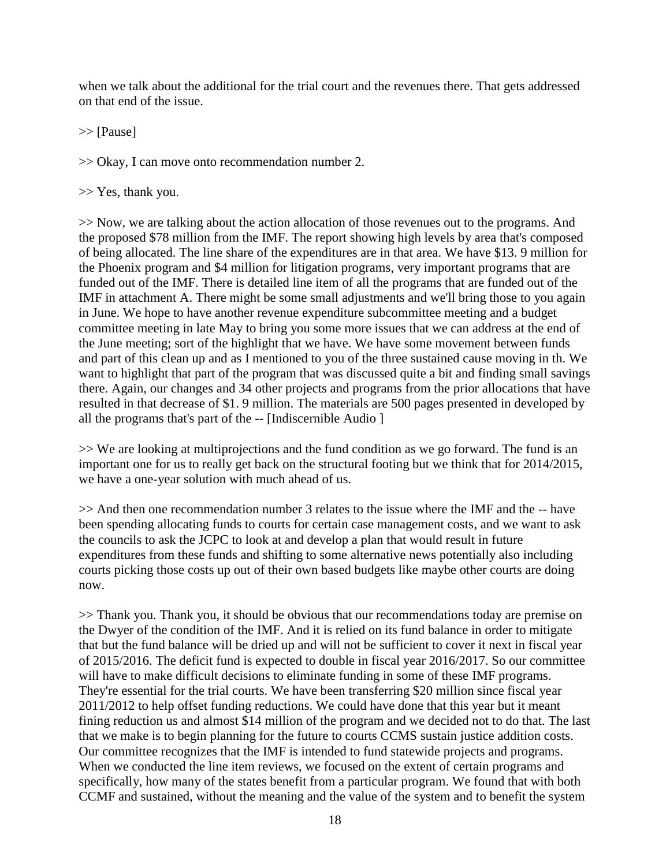when we talk about the additional for the trial court and the revenues there. That gets addressed on that end of the issue.

 $\gg$  [Pause]

>> Okay, I can move onto recommendation number 2.

>> Yes, thank you.

>> Now, we are talking about the action allocation of those revenues out to the programs. And the proposed \$78 million from the IMF. The report showing high levels by area that's composed of being allocated. The line share of the expenditures are in that area. We have \$13. 9 million for the Phoenix program and \$4 million for litigation programs, very important programs that are funded out of the IMF. There is detailed line item of all the programs that are funded out of the IMF in attachment A. There might be some small adjustments and we'll bring those to you again in June. We hope to have another revenue expenditure subcommittee meeting and a budget committee meeting in late May to bring you some more issues that we can address at the end of the June meeting; sort of the highlight that we have. We have some movement between funds and part of this clean up and as I mentioned to you of the three sustained cause moving in th. We want to highlight that part of the program that was discussed quite a bit and finding small savings there. Again, our changes and 34 other projects and programs from the prior allocations that have resulted in that decrease of \$1. 9 million. The materials are 500 pages presented in developed by all the programs that's part of the -- [Indiscernible Audio ]

>> We are looking at multiprojections and the fund condition as we go forward. The fund is an important one for us to really get back on the structural footing but we think that for 2014/2015, we have a one-year solution with much ahead of us.

>> And then one recommendation number 3 relates to the issue where the IMF and the -- have been spending allocating funds to courts for certain case management costs, and we want to ask the councils to ask the JCPC to look at and develop a plan that would result in future expenditures from these funds and shifting to some alternative news potentially also including courts picking those costs up out of their own based budgets like maybe other courts are doing now.

>> Thank you. Thank you, it should be obvious that our recommendations today are premise on the Dwyer of the condition of the IMF. And it is relied on its fund balance in order to mitigate that but the fund balance will be dried up and will not be sufficient to cover it next in fiscal year of 2015/2016. The deficit fund is expected to double in fiscal year 2016/2017. So our committee will have to make difficult decisions to eliminate funding in some of these IMF programs. They're essential for the trial courts. We have been transferring \$20 million since fiscal year 2011/2012 to help offset funding reductions. We could have done that this year but it meant fining reduction us and almost \$14 million of the program and we decided not to do that. The last that we make is to begin planning for the future to courts CCMS sustain justice addition costs. Our committee recognizes that the IMF is intended to fund statewide projects and programs. When we conducted the line item reviews, we focused on the extent of certain programs and specifically, how many of the states benefit from a particular program. We found that with both CCMF and sustained, without the meaning and the value of the system and to benefit the system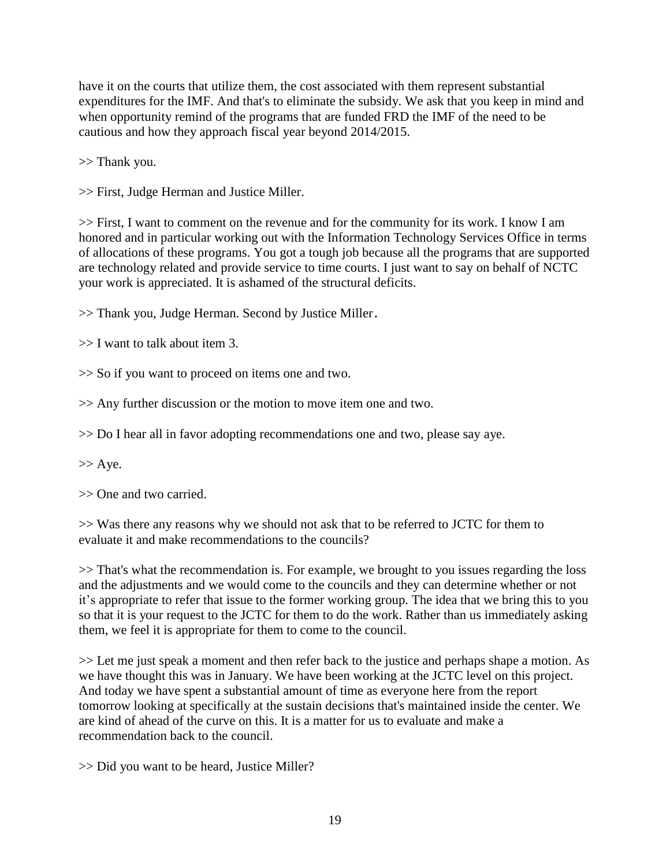have it on the courts that utilize them, the cost associated with them represent substantial expenditures for the IMF. And that's to eliminate the subsidy. We ask that you keep in mind and when opportunity remind of the programs that are funded FRD the IMF of the need to be cautious and how they approach fiscal year beyond 2014/2015.

>> Thank you.

>> First, Judge Herman and Justice Miller.

>> First, I want to comment on the revenue and for the community for its work. I know I am honored and in particular working out with the Information Technology Services Office in terms of allocations of these programs. You got a tough job because all the programs that are supported are technology related and provide service to time courts. I just want to say on behalf of NCTC your work is appreciated. It is ashamed of the structural deficits.

>> Thank you, Judge Herman. Second by Justice Miller.

>> I want to talk about item 3.

>> So if you want to proceed on items one and two.

>> Any further discussion or the motion to move item one and two.

>> Do I hear all in favor adopting recommendations one and two, please say aye.

 $>>$  Aye.

>> One and two carried.

>> Was there any reasons why we should not ask that to be referred to JCTC for them to evaluate it and make recommendations to the councils?

>> That's what the recommendation is. For example, we brought to you issues regarding the loss and the adjustments and we would come to the councils and they can determine whether or not it's appropriate to refer that issue to the former working group. The idea that we bring this to you so that it is your request to the JCTC for them to do the work. Rather than us immediately asking them, we feel it is appropriate for them to come to the council.

>> Let me just speak a moment and then refer back to the justice and perhaps shape a motion. As we have thought this was in January. We have been working at the JCTC level on this project. And today we have spent a substantial amount of time as everyone here from the report tomorrow looking at specifically at the sustain decisions that's maintained inside the center. We are kind of ahead of the curve on this. It is a matter for us to evaluate and make a recommendation back to the council.

>> Did you want to be heard, Justice Miller?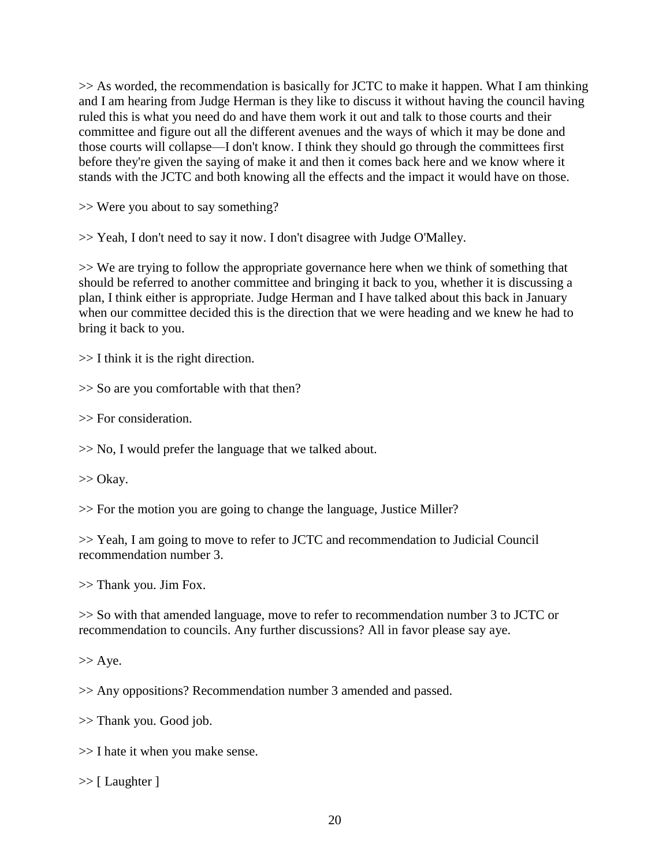>> As worded, the recommendation is basically for JCTC to make it happen. What I am thinking and I am hearing from Judge Herman is they like to discuss it without having the council having ruled this is what you need do and have them work it out and talk to those courts and their committee and figure out all the different avenues and the ways of which it may be done and those courts will collapse—I don't know. I think they should go through the committees first before they're given the saying of make it and then it comes back here and we know where it stands with the JCTC and both knowing all the effects and the impact it would have on those.

>> Were you about to say something?

>> Yeah, I don't need to say it now. I don't disagree with Judge O'Malley.

>> We are trying to follow the appropriate governance here when we think of something that should be referred to another committee and bringing it back to you, whether it is discussing a plan, I think either is appropriate. Judge Herman and I have talked about this back in January when our committee decided this is the direction that we were heading and we knew he had to bring it back to you.

>> I think it is the right direction.

>> So are you comfortable with that then?

>> For consideration.

>> No, I would prefer the language that we talked about.

>> Okay.

>> For the motion you are going to change the language, Justice Miller?

>> Yeah, I am going to move to refer to JCTC and recommendation to Judicial Council recommendation number 3.

>> Thank you. Jim Fox.

>> So with that amended language, move to refer to recommendation number 3 to JCTC or recommendation to councils. Any further discussions? All in favor please say aye.

 $>>$  Aye.

>> Any oppositions? Recommendation number 3 amended and passed.

>> Thank you. Good job.

>> I hate it when you make sense.

>> [ Laughter ]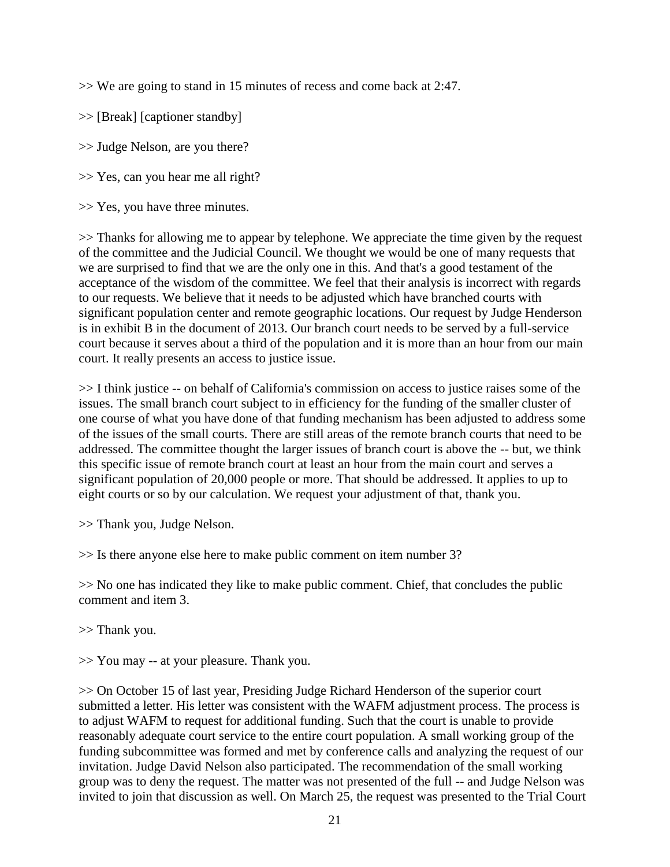>> We are going to stand in 15 minutes of recess and come back at 2:47.

- >> [Break] [captioner standby]
- >> Judge Nelson, are you there?
- >> Yes, can you hear me all right?
- >> Yes, you have three minutes.

>> Thanks for allowing me to appear by telephone. We appreciate the time given by the request of the committee and the Judicial Council. We thought we would be one of many requests that we are surprised to find that we are the only one in this. And that's a good testament of the acceptance of the wisdom of the committee. We feel that their analysis is incorrect with regards to our requests. We believe that it needs to be adjusted which have branched courts with significant population center and remote geographic locations. Our request by Judge Henderson is in exhibit B in the document of 2013. Our branch court needs to be served by a full-service court because it serves about a third of the population and it is more than an hour from our main court. It really presents an access to justice issue.

>> I think justice -- on behalf of California's commission on access to justice raises some of the issues. The small branch court subject to in efficiency for the funding of the smaller cluster of one course of what you have done of that funding mechanism has been adjusted to address some of the issues of the small courts. There are still areas of the remote branch courts that need to be addressed. The committee thought the larger issues of branch court is above the -- but, we think this specific issue of remote branch court at least an hour from the main court and serves a significant population of 20,000 people or more. That should be addressed. It applies to up to eight courts or so by our calculation. We request your adjustment of that, thank you.

- >> Thank you, Judge Nelson.
- >> Is there anyone else here to make public comment on item number 3?

>> No one has indicated they like to make public comment. Chief, that concludes the public comment and item 3.

>> Thank you.

>> You may -- at your pleasure. Thank you.

>> On October 15 of last year, Presiding Judge Richard Henderson of the superior court submitted a letter. His letter was consistent with the WAFM adjustment process. The process is to adjust WAFM to request for additional funding. Such that the court is unable to provide reasonably adequate court service to the entire court population. A small working group of the funding subcommittee was formed and met by conference calls and analyzing the request of our invitation. Judge David Nelson also participated. The recommendation of the small working group was to deny the request. The matter was not presented of the full -- and Judge Nelson was invited to join that discussion as well. On March 25, the request was presented to the Trial Court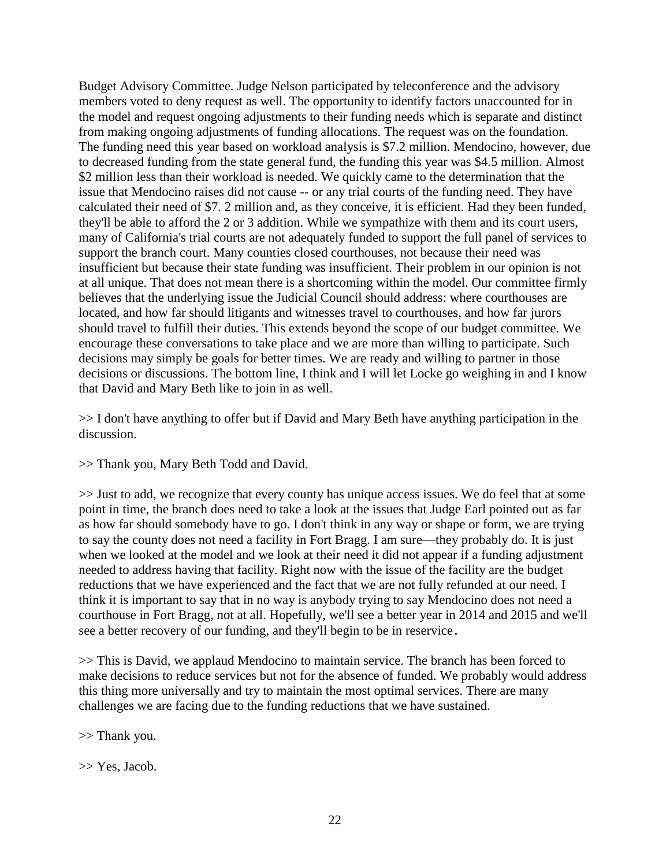Budget Advisory Committee. Judge Nelson participated by teleconference and the advisory members voted to deny request as well. The opportunity to identify factors unaccounted for in the model and request ongoing adjustments to their funding needs which is separate and distinct from making ongoing adjustments of funding allocations. The request was on the foundation. The funding need this year based on workload analysis is \$7.2 million. Mendocino, however, due to decreased funding from the state general fund, the funding this year was \$4.5 million. Almost \$2 million less than their workload is needed. We quickly came to the determination that the issue that Mendocino raises did not cause -- or any trial courts of the funding need. They have calculated their need of \$7. 2 million and, as they conceive, it is efficient. Had they been funded, they'll be able to afford the 2 or 3 addition. While we sympathize with them and its court users, many of California's trial courts are not adequately funded to support the full panel of services to support the branch court. Many counties closed courthouses, not because their need was insufficient but because their state funding was insufficient. Their problem in our opinion is not at all unique. That does not mean there is a shortcoming within the model. Our committee firmly believes that the underlying issue the Judicial Council should address: where courthouses are located, and how far should litigants and witnesses travel to courthouses, and how far jurors should travel to fulfill their duties. This extends beyond the scope of our budget committee. We encourage these conversations to take place and we are more than willing to participate. Such decisions may simply be goals for better times. We are ready and willing to partner in those decisions or discussions. The bottom line, I think and I will let Locke go weighing in and I know that David and Mary Beth like to join in as well.

>> I don't have anything to offer but if David and Mary Beth have anything participation in the discussion.

>> Thank you, Mary Beth Todd and David.

>> Just to add, we recognize that every county has unique access issues. We do feel that at some point in time, the branch does need to take a look at the issues that Judge Earl pointed out as far as how far should somebody have to go. I don't think in any way or shape or form, we are trying to say the county does not need a facility in Fort Bragg. I am sure—they probably do. It is just when we looked at the model and we look at their need it did not appear if a funding adjustment needed to address having that facility. Right now with the issue of the facility are the budget reductions that we have experienced and the fact that we are not fully refunded at our need. I think it is important to say that in no way is anybody trying to say Mendocino does not need a courthouse in Fort Bragg, not at all. Hopefully, we'll see a better year in 2014 and 2015 and we'll see a better recovery of our funding, and they'll begin to be in reservice.

>> This is David, we applaud Mendocino to maintain service. The branch has been forced to make decisions to reduce services but not for the absence of funded. We probably would address this thing more universally and try to maintain the most optimal services. There are many challenges we are facing due to the funding reductions that we have sustained.

>> Thank you.

>> Yes, Jacob.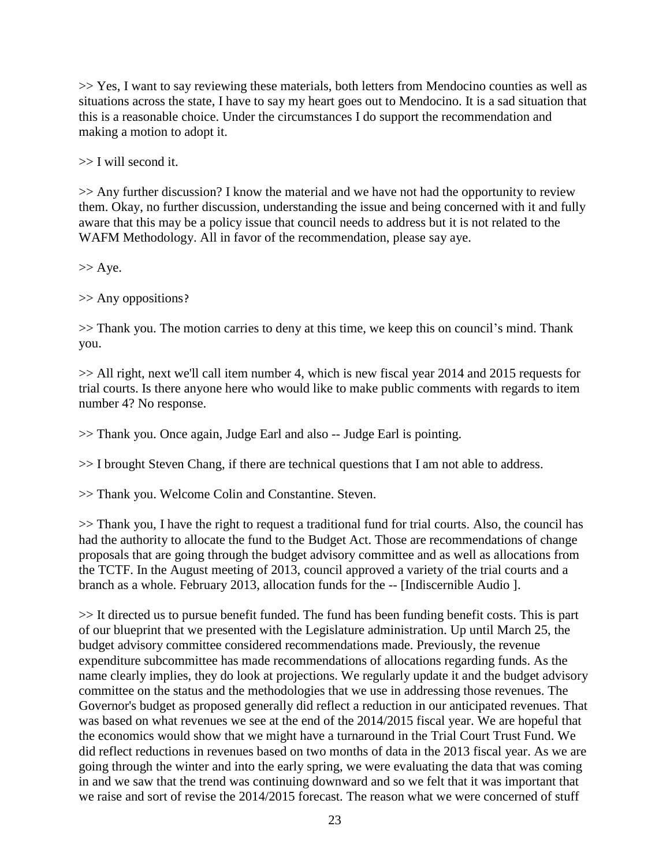>> Yes, I want to say reviewing these materials, both letters from Mendocino counties as well as situations across the state, I have to say my heart goes out to Mendocino. It is a sad situation that this is a reasonable choice. Under the circumstances I do support the recommendation and making a motion to adopt it.

>> I will second it.

>> Any further discussion? I know the material and we have not had the opportunity to review them. Okay, no further discussion, understanding the issue and being concerned with it and fully aware that this may be a policy issue that council needs to address but it is not related to the WAFM Methodology. All in favor of the recommendation, please say aye.

 $>>$  Aye.

>> Any oppositions?

>> Thank you. The motion carries to deny at this time, we keep this on council's mind. Thank you.

>> All right, next we'll call item number 4, which is new fiscal year 2014 and 2015 requests for trial courts. Is there anyone here who would like to make public comments with regards to item number 4? No response.

>> Thank you. Once again, Judge Earl and also -- Judge Earl is pointing.

>> I brought Steven Chang, if there are technical questions that I am not able to address.

>> Thank you. Welcome Colin and Constantine. Steven.

>> Thank you, I have the right to request a traditional fund for trial courts. Also, the council has had the authority to allocate the fund to the Budget Act. Those are recommendations of change proposals that are going through the budget advisory committee and as well as allocations from the TCTF. In the August meeting of 2013, council approved a variety of the trial courts and a branch as a whole. February 2013, allocation funds for the -- [Indiscernible Audio ].

>> It directed us to pursue benefit funded. The fund has been funding benefit costs. This is part of our blueprint that we presented with the Legislature administration. Up until March 25, the budget advisory committee considered recommendations made. Previously, the revenue expenditure subcommittee has made recommendations of allocations regarding funds. As the name clearly implies, they do look at projections. We regularly update it and the budget advisory committee on the status and the methodologies that we use in addressing those revenues. The Governor's budget as proposed generally did reflect a reduction in our anticipated revenues. That was based on what revenues we see at the end of the 2014/2015 fiscal year. We are hopeful that the economics would show that we might have a turnaround in the Trial Court Trust Fund. We did reflect reductions in revenues based on two months of data in the 2013 fiscal year. As we are going through the winter and into the early spring, we were evaluating the data that was coming in and we saw that the trend was continuing downward and so we felt that it was important that we raise and sort of revise the 2014/2015 forecast. The reason what we were concerned of stuff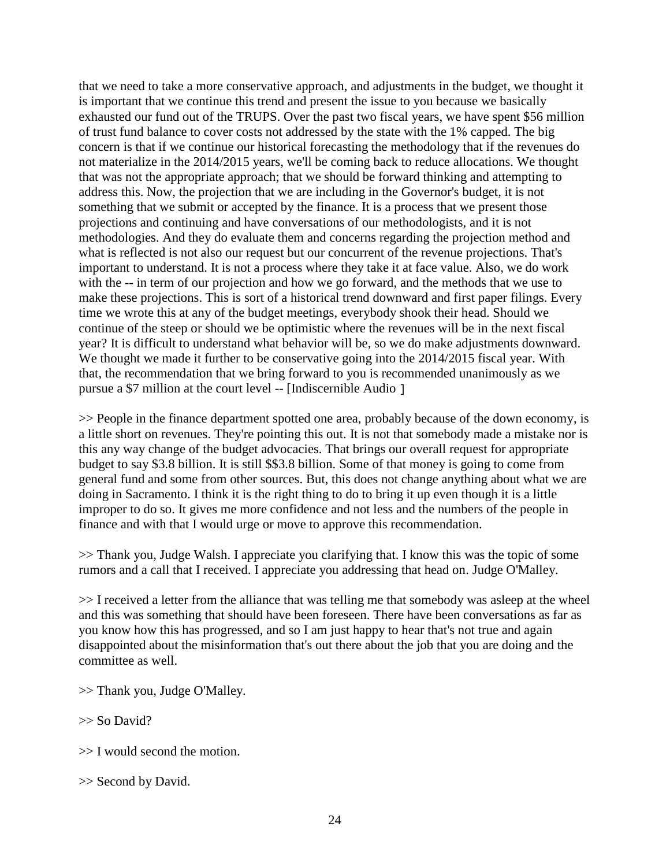that we need to take a more conservative approach, and adjustments in the budget, we thought it is important that we continue this trend and present the issue to you because we basically exhausted our fund out of the TRUPS. Over the past two fiscal years, we have spent \$56 million of trust fund balance to cover costs not addressed by the state with the 1% capped. The big concern is that if we continue our historical forecasting the methodology that if the revenues do not materialize in the 2014/2015 years, we'll be coming back to reduce allocations. We thought that was not the appropriate approach; that we should be forward thinking and attempting to address this. Now, the projection that we are including in the Governor's budget, it is not something that we submit or accepted by the finance. It is a process that we present those projections and continuing and have conversations of our methodologists, and it is not methodologies. And they do evaluate them and concerns regarding the projection method and what is reflected is not also our request but our concurrent of the revenue projections. That's important to understand. It is not a process where they take it at face value. Also, we do work with the -- in term of our projection and how we go forward, and the methods that we use to make these projections. This is sort of a historical trend downward and first paper filings. Every time we wrote this at any of the budget meetings, everybody shook their head. Should we continue of the steep or should we be optimistic where the revenues will be in the next fiscal year? It is difficult to understand what behavior will be, so we do make adjustments downward. We thought we made it further to be conservative going into the 2014/2015 fiscal year. With that, the recommendation that we bring forward to you is recommended unanimously as we pursue a \$7 million at the court level -- [Indiscernible Audio ]

>> People in the finance department spotted one area, probably because of the down economy, is a little short on revenues. They're pointing this out. It is not that somebody made a mistake nor is this any way change of the budget advocacies. That brings our overall request for appropriate budget to say \$3.8 billion. It is still \$\$3.8 billion. Some of that money is going to come from general fund and some from other sources. But, this does not change anything about what we are doing in Sacramento. I think it is the right thing to do to bring it up even though it is a little improper to do so. It gives me more confidence and not less and the numbers of the people in finance and with that I would urge or move to approve this recommendation.

>> Thank you, Judge Walsh. I appreciate you clarifying that. I know this was the topic of some rumors and a call that I received. I appreciate you addressing that head on. Judge O'Malley.

>> I received a letter from the alliance that was telling me that somebody was asleep at the wheel and this was something that should have been foreseen. There have been conversations as far as you know how this has progressed, and so I am just happy to hear that's not true and again disappointed about the misinformation that's out there about the job that you are doing and the committee as well.

- >> Thank you, Judge O'Malley.
- >> So David?
- >> I would second the motion.
- >> Second by David.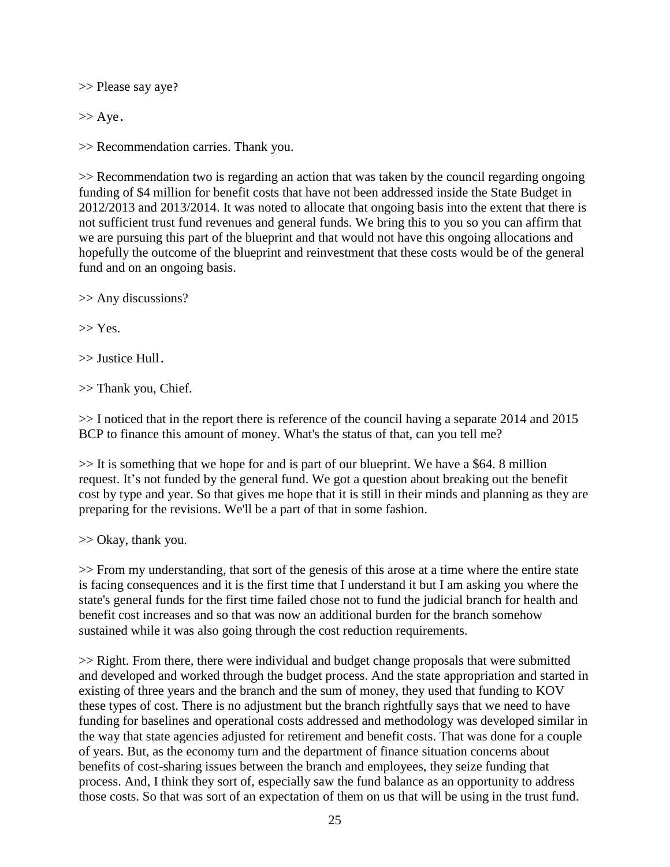>> Please say aye?

 $>>$  Aye.

>> Recommendation carries. Thank you.

>> Recommendation two is regarding an action that was taken by the council regarding ongoing funding of \$4 million for benefit costs that have not been addressed inside the State Budget in 2012/2013 and 2013/2014. It was noted to allocate that ongoing basis into the extent that there is not sufficient trust fund revenues and general funds. We bring this to you so you can affirm that we are pursuing this part of the blueprint and that would not have this ongoing allocations and hopefully the outcome of the blueprint and reinvestment that these costs would be of the general fund and on an ongoing basis.

>> Any discussions?

 $>> Yes.$ 

>> Justice Hull.

>> Thank you, Chief.

>> I noticed that in the report there is reference of the council having a separate 2014 and 2015 BCP to finance this amount of money. What's the status of that, can you tell me?

>> It is something that we hope for and is part of our blueprint. We have a \$64. 8 million request. It's not funded by the general fund. We got a question about breaking out the benefit cost by type and year. So that gives me hope that it is still in their minds and planning as they are preparing for the revisions. We'll be a part of that in some fashion.

>> Okay, thank you.

>> From my understanding, that sort of the genesis of this arose at a time where the entire state is facing consequences and it is the first time that I understand it but I am asking you where the state's general funds for the first time failed chose not to fund the judicial branch for health and benefit cost increases and so that was now an additional burden for the branch somehow sustained while it was also going through the cost reduction requirements.

>> Right. From there, there were individual and budget change proposals that were submitted and developed and worked through the budget process. And the state appropriation and started in existing of three years and the branch and the sum of money, they used that funding to KOV these types of cost. There is no adjustment but the branch rightfully says that we need to have funding for baselines and operational costs addressed and methodology was developed similar in the way that state agencies adjusted for retirement and benefit costs. That was done for a couple of years. But, as the economy turn and the department of finance situation concerns about benefits of cost-sharing issues between the branch and employees, they seize funding that process. And, I think they sort of, especially saw the fund balance as an opportunity to address those costs. So that was sort of an expectation of them on us that will be using in the trust fund.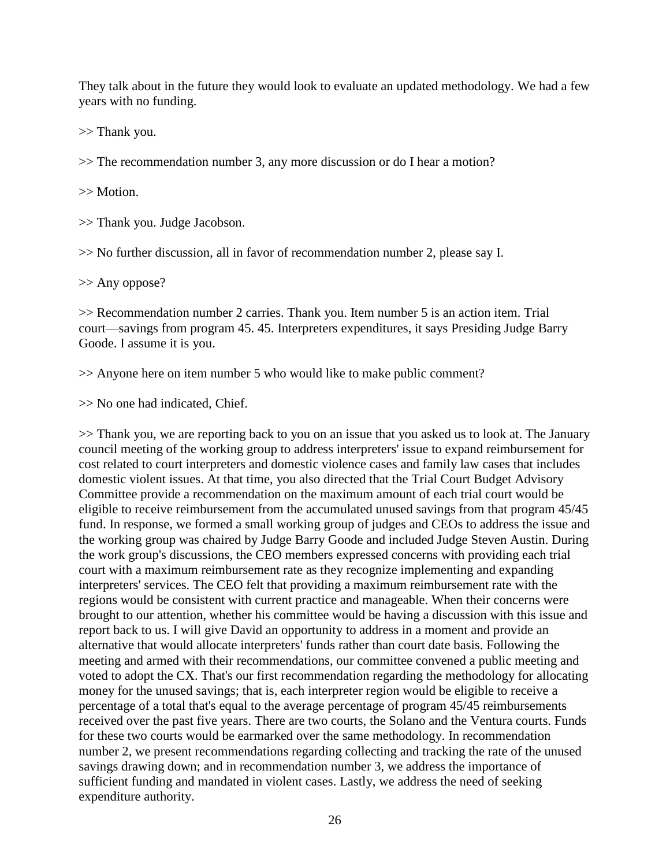They talk about in the future they would look to evaluate an updated methodology. We had a few years with no funding.

>> Thank you.

>> The recommendation number 3, any more discussion or do I hear a motion?

>> Motion.

>> Thank you. Judge Jacobson.

>> No further discussion, all in favor of recommendation number 2, please say I.

>> Any oppose?

>> Recommendation number 2 carries. Thank you. Item number 5 is an action item. Trial court—savings from program 45. 45. Interpreters expenditures, it says Presiding Judge Barry Goode. I assume it is you.

>> Anyone here on item number 5 who would like to make public comment?

>> No one had indicated, Chief.

>> Thank you, we are reporting back to you on an issue that you asked us to look at. The January council meeting of the working group to address interpreters' issue to expand reimbursement for cost related to court interpreters and domestic violence cases and family law cases that includes domestic violent issues. At that time, you also directed that the Trial Court Budget Advisory Committee provide a recommendation on the maximum amount of each trial court would be eligible to receive reimbursement from the accumulated unused savings from that program 45/45 fund. In response, we formed a small working group of judges and CEOs to address the issue and the working group was chaired by Judge Barry Goode and included Judge Steven Austin. During the work group's discussions, the CEO members expressed concerns with providing each trial court with a maximum reimbursement rate as they recognize implementing and expanding interpreters' services. The CEO felt that providing a maximum reimbursement rate with the regions would be consistent with current practice and manageable. When their concerns were brought to our attention, whether his committee would be having a discussion with this issue and report back to us. I will give David an opportunity to address in a moment and provide an alternative that would allocate interpreters' funds rather than court date basis. Following the meeting and armed with their recommendations, our committee convened a public meeting and voted to adopt the CX. That's our first recommendation regarding the methodology for allocating money for the unused savings; that is, each interpreter region would be eligible to receive a percentage of a total that's equal to the average percentage of program 45/45 reimbursements received over the past five years. There are two courts, the Solano and the Ventura courts. Funds for these two courts would be earmarked over the same methodology. In recommendation number 2, we present recommendations regarding collecting and tracking the rate of the unused savings drawing down; and in recommendation number 3, we address the importance of sufficient funding and mandated in violent cases. Lastly, we address the need of seeking expenditure authority.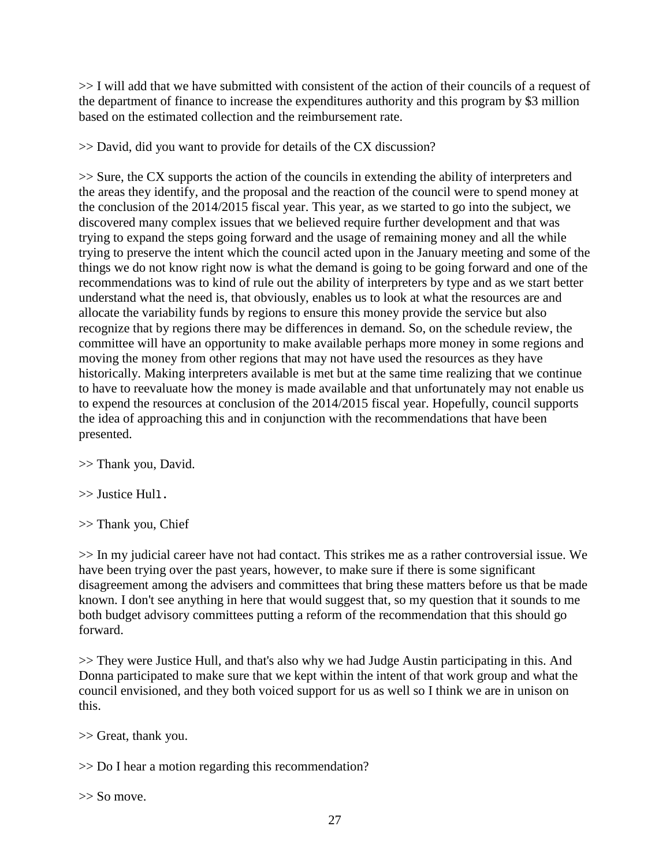>> I will add that we have submitted with consistent of the action of their councils of a request of the department of finance to increase the expenditures authority and this program by \$3 million based on the estimated collection and the reimbursement rate.

>> David, did you want to provide for details of the CX discussion?

>> Sure, the CX supports the action of the councils in extending the ability of interpreters and the areas they identify, and the proposal and the reaction of the council were to spend money at the conclusion of the 2014/2015 fiscal year. This year, as we started to go into the subject, we discovered many complex issues that we believed require further development and that was trying to expand the steps going forward and the usage of remaining money and all the while trying to preserve the intent which the council acted upon in the January meeting and some of the things we do not know right now is what the demand is going to be going forward and one of the recommendations was to kind of rule out the ability of interpreters by type and as we start better understand what the need is, that obviously, enables us to look at what the resources are and allocate the variability funds by regions to ensure this money provide the service but also recognize that by regions there may be differences in demand. So, on the schedule review, the committee will have an opportunity to make available perhaps more money in some regions and moving the money from other regions that may not have used the resources as they have historically. Making interpreters available is met but at the same time realizing that we continue to have to reevaluate how the money is made available and that unfortunately may not enable us to expend the resources at conclusion of the 2014/2015 fiscal year. Hopefully, council supports the idea of approaching this and in conjunction with the recommendations that have been presented.

>> Thank you, David.

>> Justice Hull.

>> Thank you, Chief

>> In my judicial career have not had contact. This strikes me as a rather controversial issue. We have been trying over the past years, however, to make sure if there is some significant disagreement among the advisers and committees that bring these matters before us that be made known. I don't see anything in here that would suggest that, so my question that it sounds to me both budget advisory committees putting a reform of the recommendation that this should go forward.

>> They were Justice Hull, and that's also why we had Judge Austin participating in this. And Donna participated to make sure that we kept within the intent of that work group and what the council envisioned, and they both voiced support for us as well so I think we are in unison on this.

>> Great, thank you.

>> Do I hear a motion regarding this recommendation?

>> So move.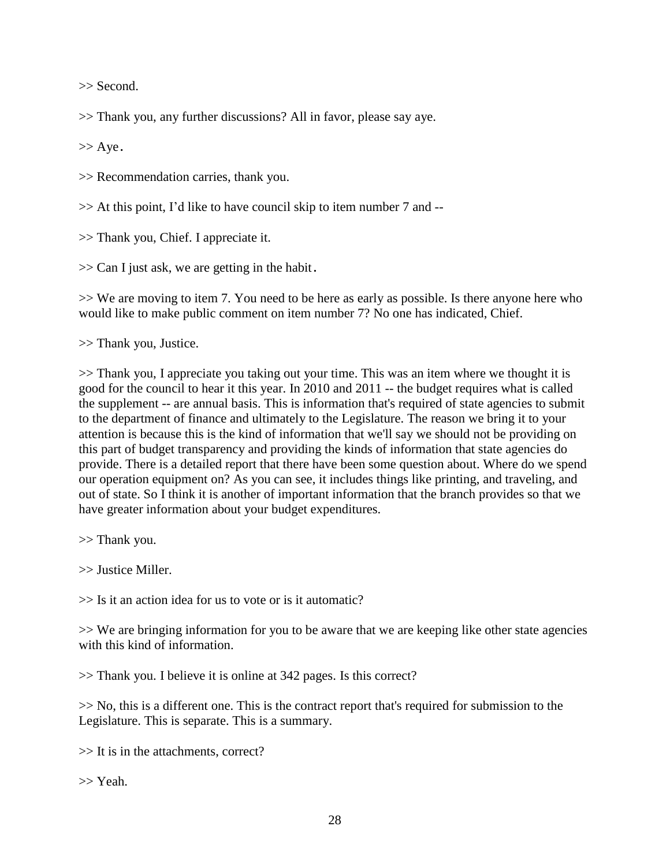>> Second.

>> Thank you, any further discussions? All in favor, please say aye.

 $>>$  Aye.

>> Recommendation carries, thank you.

>> At this point, I'd like to have council skip to item number 7 and --

>> Thank you, Chief. I appreciate it.

>> Can I just ask, we are getting in the habit.

>> We are moving to item 7. You need to be here as early as possible. Is there anyone here who would like to make public comment on item number 7? No one has indicated, Chief.

>> Thank you, Justice.

>> Thank you, I appreciate you taking out your time. This was an item where we thought it is good for the council to hear it this year. In 2010 and 2011 -- the budget requires what is called the supplement -- are annual basis. This is information that's required of state agencies to submit to the department of finance and ultimately to the Legislature. The reason we bring it to your attention is because this is the kind of information that we'll say we should not be providing on this part of budget transparency and providing the kinds of information that state agencies do provide. There is a detailed report that there have been some question about. Where do we spend our operation equipment on? As you can see, it includes things like printing, and traveling, and out of state. So I think it is another of important information that the branch provides so that we have greater information about your budget expenditures.

>> Thank you.

>> Justice Miller.

 $\gg$  Is it an action idea for us to vote or is it automatic?

>> We are bringing information for you to be aware that we are keeping like other state agencies with this kind of information.

>> Thank you. I believe it is online at 342 pages. Is this correct?

>> No, this is a different one. This is the contract report that's required for submission to the Legislature. This is separate. This is a summary.

>> It is in the attachments, correct?

>> Yeah.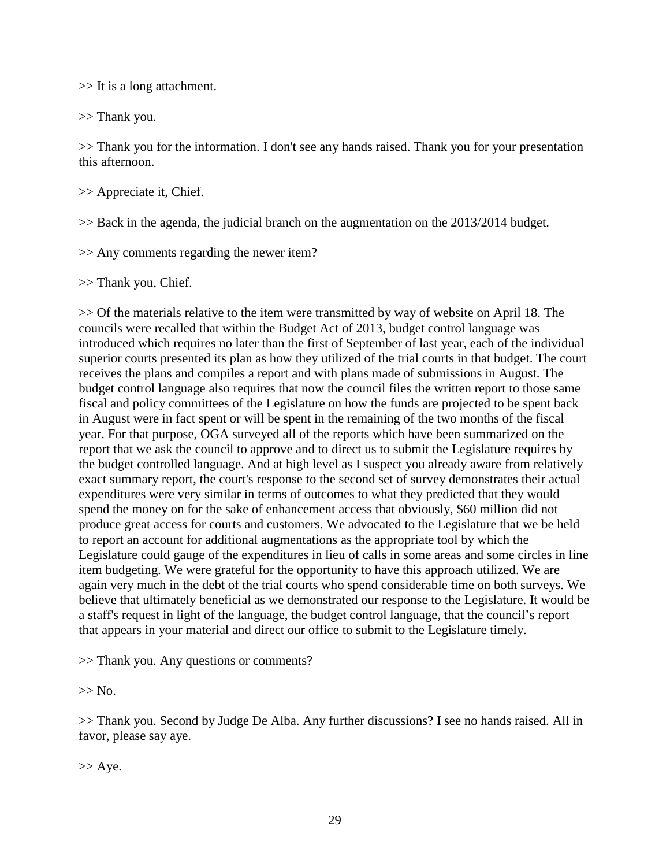>> It is a long attachment.

>> Thank you.

>> Thank you for the information. I don't see any hands raised. Thank you for your presentation this afternoon.

>> Appreciate it, Chief.

>> Back in the agenda, the judicial branch on the augmentation on the 2013/2014 budget.

>> Any comments regarding the newer item?

>> Thank you, Chief.

>> Of the materials relative to the item were transmitted by way of website on April 18. The councils were recalled that within the Budget Act of 2013, budget control language was introduced which requires no later than the first of September of last year, each of the individual superior courts presented its plan as how they utilized of the trial courts in that budget. The court receives the plans and compiles a report and with plans made of submissions in August. The budget control language also requires that now the council files the written report to those same fiscal and policy committees of the Legislature on how the funds are projected to be spent back in August were in fact spent or will be spent in the remaining of the two months of the fiscal year. For that purpose, OGA surveyed all of the reports which have been summarized on the report that we ask the council to approve and to direct us to submit the Legislature requires by the budget controlled language. And at high level as I suspect you already aware from relatively exact summary report, the court's response to the second set of survey demonstrates their actual expenditures were very similar in terms of outcomes to what they predicted that they would spend the money on for the sake of enhancement access that obviously, \$60 million did not produce great access for courts and customers. We advocated to the Legislature that we be held to report an account for additional augmentations as the appropriate tool by which the Legislature could gauge of the expenditures in lieu of calls in some areas and some circles in line item budgeting. We were grateful for the opportunity to have this approach utilized. We are again very much in the debt of the trial courts who spend considerable time on both surveys. We believe that ultimately beneficial as we demonstrated our response to the Legislature. It would be a staff's request in light of the language, the budget control language, that the council's report that appears in your material and direct our office to submit to the Legislature timely.

>> Thank you. Any questions or comments?

 $>>$  No.

>> Thank you. Second by Judge De Alba. Any further discussions? I see no hands raised. All in favor, please say aye.

 $>>$  Aye.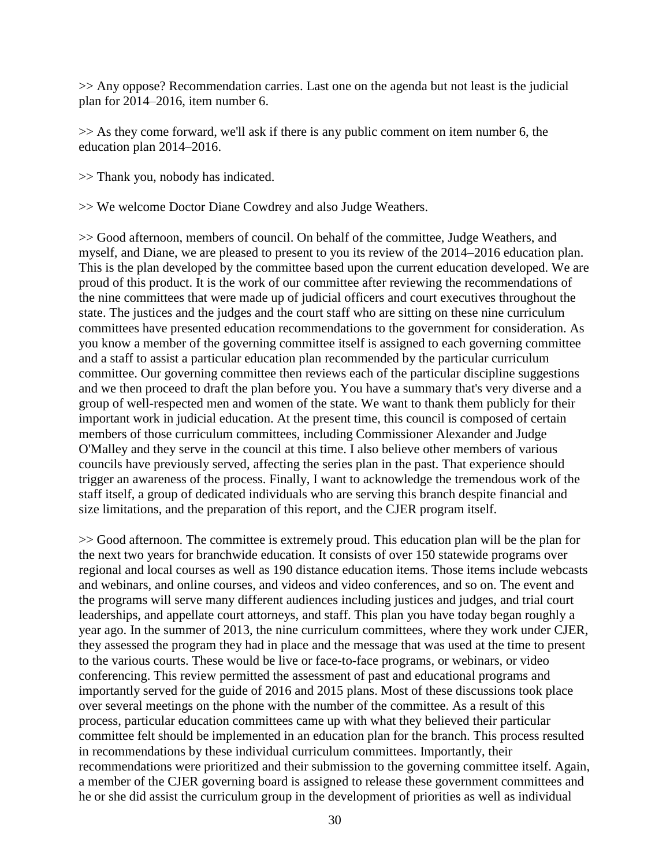>> Any oppose? Recommendation carries. Last one on the agenda but not least is the judicial plan for 2014–2016, item number 6.

>> As they come forward, we'll ask if there is any public comment on item number 6, the education plan 2014–2016.

>> Thank you, nobody has indicated.

>> We welcome Doctor Diane Cowdrey and also Judge Weathers.

>> Good afternoon, members of council. On behalf of the committee, Judge Weathers, and myself, and Diane, we are pleased to present to you its review of the 2014–2016 education plan. This is the plan developed by the committee based upon the current education developed. We are proud of this product. It is the work of our committee after reviewing the recommendations of the nine committees that were made up of judicial officers and court executives throughout the state. The justices and the judges and the court staff who are sitting on these nine curriculum committees have presented education recommendations to the government for consideration. As you know a member of the governing committee itself is assigned to each governing committee and a staff to assist a particular education plan recommended by the particular curriculum committee. Our governing committee then reviews each of the particular discipline suggestions and we then proceed to draft the plan before you. You have a summary that's very diverse and a group of well-respected men and women of the state. We want to thank them publicly for their important work in judicial education. At the present time, this council is composed of certain members of those curriculum committees, including Commissioner Alexander and Judge O'Malley and they serve in the council at this time. I also believe other members of various councils have previously served, affecting the series plan in the past. That experience should trigger an awareness of the process. Finally, I want to acknowledge the tremendous work of the staff itself, a group of dedicated individuals who are serving this branch despite financial and size limitations, and the preparation of this report, and the CJER program itself.

>> Good afternoon. The committee is extremely proud. This education plan will be the plan for the next two years for branchwide education. It consists of over 150 statewide programs over regional and local courses as well as 190 distance education items. Those items include webcasts and webinars, and online courses, and videos and video conferences, and so on. The event and the programs will serve many different audiences including justices and judges, and trial court leaderships, and appellate court attorneys, and staff. This plan you have today began roughly a year ago. In the summer of 2013, the nine curriculum committees, where they work under CJER, they assessed the program they had in place and the message that was used at the time to present to the various courts. These would be live or face-to-face programs, or webinars, or video conferencing. This review permitted the assessment of past and educational programs and importantly served for the guide of 2016 and 2015 plans. Most of these discussions took place over several meetings on the phone with the number of the committee. As a result of this process, particular education committees came up with what they believed their particular committee felt should be implemented in an education plan for the branch. This process resulted in recommendations by these individual curriculum committees. Importantly, their recommendations were prioritized and their submission to the governing committee itself. Again, a member of the CJER governing board is assigned to release these government committees and he or she did assist the curriculum group in the development of priorities as well as individual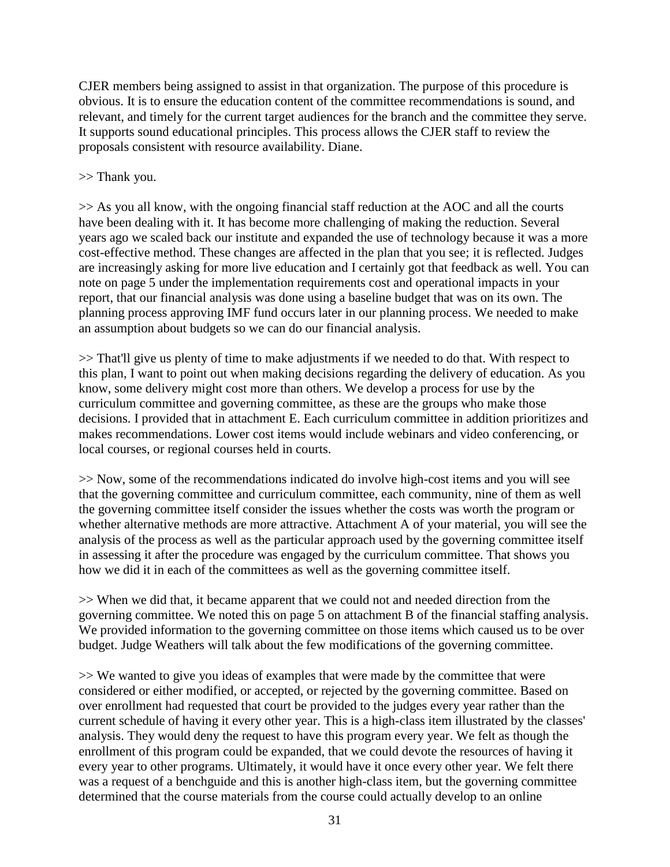CJER members being assigned to assist in that organization. The purpose of this procedure is obvious. It is to ensure the education content of the committee recommendations is sound, and relevant, and timely for the current target audiences for the branch and the committee they serve. It supports sound educational principles. This process allows the CJER staff to review the proposals consistent with resource availability. Diane.

# >> Thank you.

>> As you all know, with the ongoing financial staff reduction at the AOC and all the courts have been dealing with it. It has become more challenging of making the reduction. Several years ago we scaled back our institute and expanded the use of technology because it was a more cost-effective method. These changes are affected in the plan that you see; it is reflected. Judges are increasingly asking for more live education and I certainly got that feedback as well. You can note on page 5 under the implementation requirements cost and operational impacts in your report, that our financial analysis was done using a baseline budget that was on its own. The planning process approving IMF fund occurs later in our planning process. We needed to make an assumption about budgets so we can do our financial analysis.

>> That'll give us plenty of time to make adjustments if we needed to do that. With respect to this plan, I want to point out when making decisions regarding the delivery of education. As you know, some delivery might cost more than others. We develop a process for use by the curriculum committee and governing committee, as these are the groups who make those decisions. I provided that in attachment E. Each curriculum committee in addition prioritizes and makes recommendations. Lower cost items would include webinars and video conferencing, or local courses, or regional courses held in courts.

>> Now, some of the recommendations indicated do involve high-cost items and you will see that the governing committee and curriculum committee, each community, nine of them as well the governing committee itself consider the issues whether the costs was worth the program or whether alternative methods are more attractive. Attachment A of your material, you will see the analysis of the process as well as the particular approach used by the governing committee itself in assessing it after the procedure was engaged by the curriculum committee. That shows you how we did it in each of the committees as well as the governing committee itself.

>> When we did that, it became apparent that we could not and needed direction from the governing committee. We noted this on page 5 on attachment B of the financial staffing analysis. We provided information to the governing committee on those items which caused us to be over budget. Judge Weathers will talk about the few modifications of the governing committee.

>> We wanted to give you ideas of examples that were made by the committee that were considered or either modified, or accepted, or rejected by the governing committee. Based on over enrollment had requested that court be provided to the judges every year rather than the current schedule of having it every other year. This is a high-class item illustrated by the classes' analysis. They would deny the request to have this program every year. We felt as though the enrollment of this program could be expanded, that we could devote the resources of having it every year to other programs. Ultimately, it would have it once every other year. We felt there was a request of a benchguide and this is another high-class item, but the governing committee determined that the course materials from the course could actually develop to an online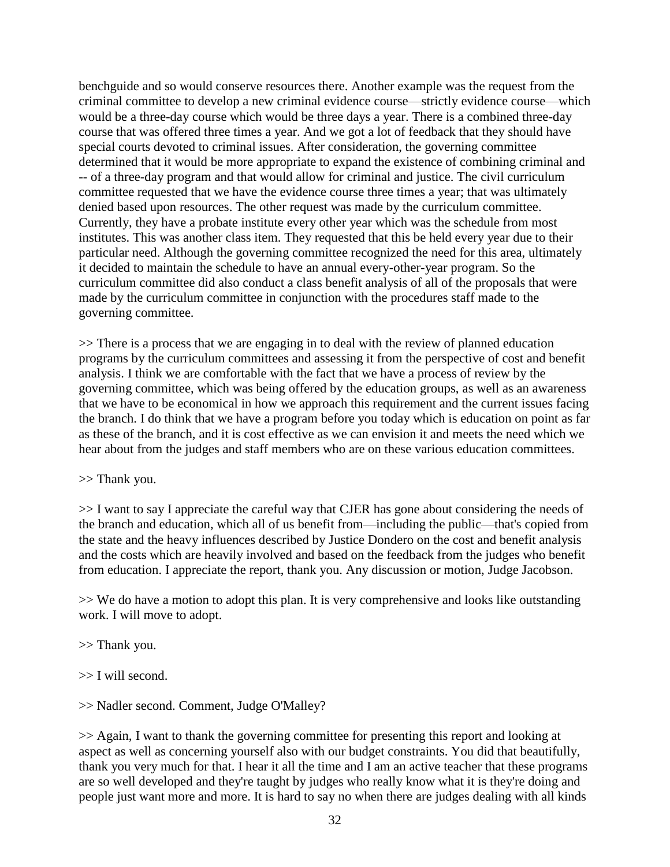benchguide and so would conserve resources there. Another example was the request from the criminal committee to develop a new criminal evidence course—strictly evidence course—which would be a three-day course which would be three days a year. There is a combined three-day course that was offered three times a year. And we got a lot of feedback that they should have special courts devoted to criminal issues. After consideration, the governing committee determined that it would be more appropriate to expand the existence of combining criminal and -- of a three-day program and that would allow for criminal and justice. The civil curriculum committee requested that we have the evidence course three times a year; that was ultimately denied based upon resources. The other request was made by the curriculum committee. Currently, they have a probate institute every other year which was the schedule from most institutes. This was another class item. They requested that this be held every year due to their particular need. Although the governing committee recognized the need for this area, ultimately it decided to maintain the schedule to have an annual every-other-year program. So the curriculum committee did also conduct a class benefit analysis of all of the proposals that were made by the curriculum committee in conjunction with the procedures staff made to the governing committee.

>> There is a process that we are engaging in to deal with the review of planned education programs by the curriculum committees and assessing it from the perspective of cost and benefit analysis. I think we are comfortable with the fact that we have a process of review by the governing committee, which was being offered by the education groups, as well as an awareness that we have to be economical in how we approach this requirement and the current issues facing the branch. I do think that we have a program before you today which is education on point as far as these of the branch, and it is cost effective as we can envision it and meets the need which we hear about from the judges and staff members who are on these various education committees.

>> Thank you.

>> I want to say I appreciate the careful way that CJER has gone about considering the needs of the branch and education, which all of us benefit from—including the public—that's copied from the state and the heavy influences described by Justice Dondero on the cost and benefit analysis and the costs which are heavily involved and based on the feedback from the judges who benefit from education. I appreciate the report, thank you. Any discussion or motion, Judge Jacobson.

>> We do have a motion to adopt this plan. It is very comprehensive and looks like outstanding work. I will move to adopt.

>> Thank you.

 $>> I$  will second.

>> Nadler second. Comment, Judge O'Malley?

>> Again, I want to thank the governing committee for presenting this report and looking at aspect as well as concerning yourself also with our budget constraints. You did that beautifully, thank you very much for that. I hear it all the time and I am an active teacher that these programs are so well developed and they're taught by judges who really know what it is they're doing and people just want more and more. It is hard to say no when there are judges dealing with all kinds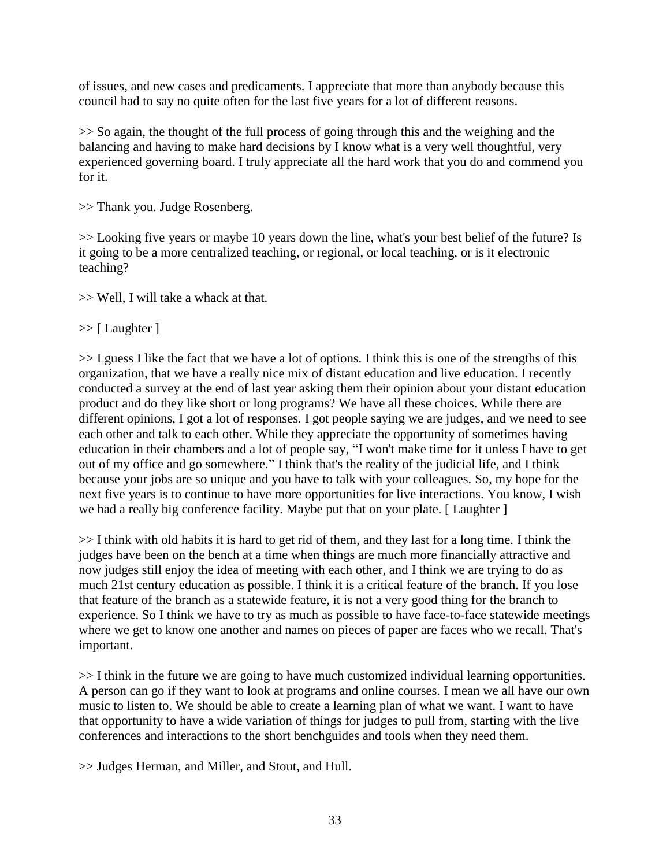of issues, and new cases and predicaments. I appreciate that more than anybody because this council had to say no quite often for the last five years for a lot of different reasons.

>> So again, the thought of the full process of going through this and the weighing and the balancing and having to make hard decisions by I know what is a very well thoughtful, very experienced governing board. I truly appreciate all the hard work that you do and commend you for it.

>> Thank you. Judge Rosenberg.

>> Looking five years or maybe 10 years down the line, what's your best belief of the future? Is it going to be a more centralized teaching, or regional, or local teaching, or is it electronic teaching?

>> Well, I will take a whack at that.

 $\gg$  [ Laughter ]

>> I guess I like the fact that we have a lot of options. I think this is one of the strengths of this organization, that we have a really nice mix of distant education and live education. I recently conducted a survey at the end of last year asking them their opinion about your distant education product and do they like short or long programs? We have all these choices. While there are different opinions, I got a lot of responses. I got people saying we are judges, and we need to see each other and talk to each other. While they appreciate the opportunity of sometimes having education in their chambers and a lot of people say, "I won't make time for it unless I have to get out of my office and go somewhere." I think that's the reality of the judicial life, and I think because your jobs are so unique and you have to talk with your colleagues. So, my hope for the next five years is to continue to have more opportunities for live interactions. You know, I wish we had a really big conference facility. Maybe put that on your plate. [Laughter ]

>> I think with old habits it is hard to get rid of them, and they last for a long time. I think the judges have been on the bench at a time when things are much more financially attractive and now judges still enjoy the idea of meeting with each other, and I think we are trying to do as much 21st century education as possible. I think it is a critical feature of the branch. If you lose that feature of the branch as a statewide feature, it is not a very good thing for the branch to experience. So I think we have to try as much as possible to have face-to-face statewide meetings where we get to know one another and names on pieces of paper are faces who we recall. That's important.

>> I think in the future we are going to have much customized individual learning opportunities. A person can go if they want to look at programs and online courses. I mean we all have our own music to listen to. We should be able to create a learning plan of what we want. I want to have that opportunity to have a wide variation of things for judges to pull from, starting with the live conferences and interactions to the short benchguides and tools when they need them.

>> Judges Herman, and Miller, and Stout, and Hull.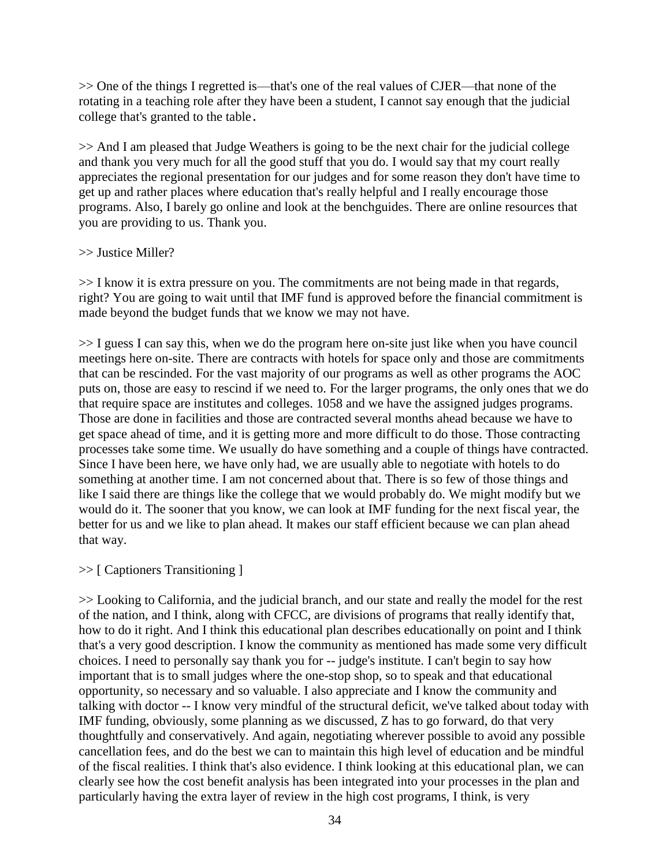>> One of the things I regretted is—that's one of the real values of CJER—that none of the rotating in a teaching role after they have been a student, I cannot say enough that the judicial college that's granted to the table.

>> And I am pleased that Judge Weathers is going to be the next chair for the judicial college and thank you very much for all the good stuff that you do. I would say that my court really appreciates the regional presentation for our judges and for some reason they don't have time to get up and rather places where education that's really helpful and I really encourage those programs. Also, I barely go online and look at the benchguides. There are online resources that you are providing to us. Thank you.

# >> Justice Miller?

>> I know it is extra pressure on you. The commitments are not being made in that regards, right? You are going to wait until that IMF fund is approved before the financial commitment is made beyond the budget funds that we know we may not have.

>> I guess I can say this, when we do the program here on-site just like when you have council meetings here on-site. There are contracts with hotels for space only and those are commitments that can be rescinded. For the vast majority of our programs as well as other programs the AOC puts on, those are easy to rescind if we need to. For the larger programs, the only ones that we do that require space are institutes and colleges. 1058 and we have the assigned judges programs. Those are done in facilities and those are contracted several months ahead because we have to get space ahead of time, and it is getting more and more difficult to do those. Those contracting processes take some time. We usually do have something and a couple of things have contracted. Since I have been here, we have only had, we are usually able to negotiate with hotels to do something at another time. I am not concerned about that. There is so few of those things and like I said there are things like the college that we would probably do. We might modify but we would do it. The sooner that you know, we can look at IMF funding for the next fiscal year, the better for us and we like to plan ahead. It makes our staff efficient because we can plan ahead that way.

# >> [ Captioners Transitioning ]

>> Looking to California, and the judicial branch, and our state and really the model for the rest of the nation, and I think, along with CFCC, are divisions of programs that really identify that, how to do it right. And I think this educational plan describes educationally on point and I think that's a very good description. I know the community as mentioned has made some very difficult choices. I need to personally say thank you for -- judge's institute. I can't begin to say how important that is to small judges where the one-stop shop, so to speak and that educational opportunity, so necessary and so valuable. I also appreciate and I know the community and talking with doctor -- I know very mindful of the structural deficit, we've talked about today with IMF funding, obviously, some planning as we discussed, Z has to go forward, do that very thoughtfully and conservatively. And again, negotiating wherever possible to avoid any possible cancellation fees, and do the best we can to maintain this high level of education and be mindful of the fiscal realities. I think that's also evidence. I think looking at this educational plan, we can clearly see how the cost benefit analysis has been integrated into your processes in the plan and particularly having the extra layer of review in the high cost programs, I think, is very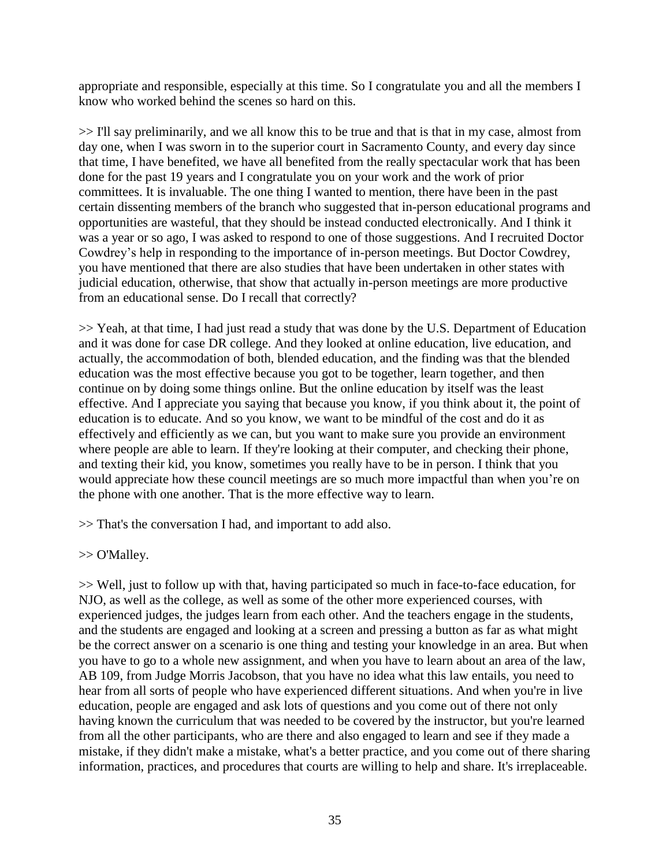appropriate and responsible, especially at this time. So I congratulate you and all the members I know who worked behind the scenes so hard on this.

>> I'll say preliminarily, and we all know this to be true and that is that in my case, almost from day one, when I was sworn in to the superior court in Sacramento County, and every day since that time, I have benefited, we have all benefited from the really spectacular work that has been done for the past 19 years and I congratulate you on your work and the work of prior committees. It is invaluable. The one thing I wanted to mention, there have been in the past certain dissenting members of the branch who suggested that in-person educational programs and opportunities are wasteful, that they should be instead conducted electronically. And I think it was a year or so ago, I was asked to respond to one of those suggestions. And I recruited Doctor Cowdrey's help in responding to the importance of in-person meetings. But Doctor Cowdrey, you have mentioned that there are also studies that have been undertaken in other states with judicial education, otherwise, that show that actually in-person meetings are more productive from an educational sense. Do I recall that correctly?

>> Yeah, at that time, I had just read a study that was done by the U.S. Department of Education and it was done for case DR college. And they looked at online education, live education, and actually, the accommodation of both, blended education, and the finding was that the blended education was the most effective because you got to be together, learn together, and then continue on by doing some things online. But the online education by itself was the least effective. And I appreciate you saying that because you know, if you think about it, the point of education is to educate. And so you know, we want to be mindful of the cost and do it as effectively and efficiently as we can, but you want to make sure you provide an environment where people are able to learn. If they're looking at their computer, and checking their phone, and texting their kid, you know, sometimes you really have to be in person. I think that you would appreciate how these council meetings are so much more impactful than when you're on the phone with one another. That is the more effective way to learn.

>> That's the conversation I had, and important to add also.

>> O'Malley.

>> Well, just to follow up with that, having participated so much in face-to-face education, for NJO, as well as the college, as well as some of the other more experienced courses, with experienced judges, the judges learn from each other. And the teachers engage in the students, and the students are engaged and looking at a screen and pressing a button as far as what might be the correct answer on a scenario is one thing and testing your knowledge in an area. But when you have to go to a whole new assignment, and when you have to learn about an area of the law, AB 109, from Judge Morris Jacobson, that you have no idea what this law entails, you need to hear from all sorts of people who have experienced different situations. And when you're in live education, people are engaged and ask lots of questions and you come out of there not only having known the curriculum that was needed to be covered by the instructor, but you're learned from all the other participants, who are there and also engaged to learn and see if they made a mistake, if they didn't make a mistake, what's a better practice, and you come out of there sharing information, practices, and procedures that courts are willing to help and share. It's irreplaceable.